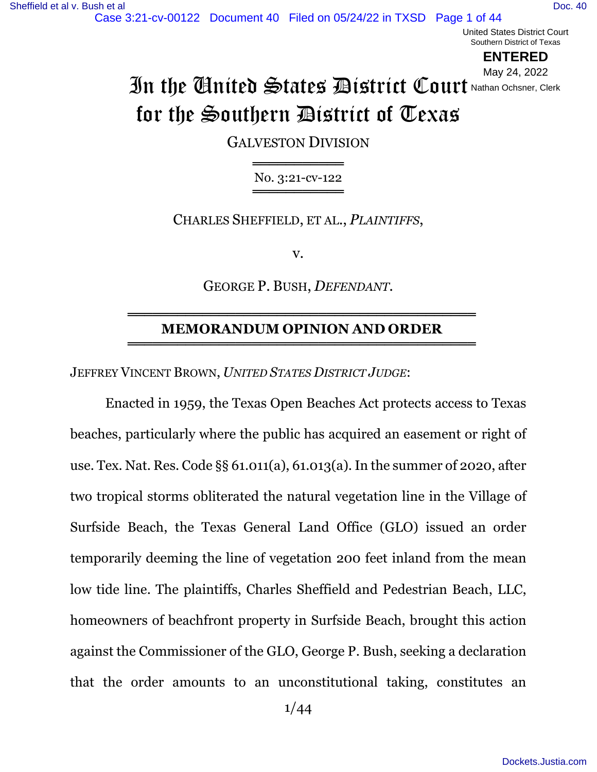United States District Court Southern District of Texas

**ENTERED**

# In the United States District Court Nathan Ochsner, Clerk for the Southern District of Texas May 24, 2022

GALVESTON DIVISION

══════════════ No. 3:21-cv-122 ════════════════════

CHARLES SHEFFIELD, ET AL., *PLAINTIFFS*,

v.

GEORGE P. BUSH, *DEFENDANT*.

#### ══════════════════════════════════════════ **MEMORANDUM OPINION AND ORDER** ══════════════════════════════════════════

JEFFREY VINCENT BROWN, *UNITED STATES DISTRICT JUDGE*:

Enacted in 1959, the Texas Open Beaches Act protects access to Texas beaches, particularly where the public has acquired an easement or right of use. Tex. Nat. Res. Code §§ 61.011(a), 61.013(a). In the summer of 2020, after two tropical storms obliterated the natural vegetation line in the Village of Surfside Beach, the Texas General Land Office (GLO) issued an order temporarily deeming the line of vegetation 200 feet inland from the mean low tide line. The plaintiffs, Charles Sheffield and Pedestrian Beach, LLC, homeowners of beachfront property in Surfside Beach, brought this action against the Commissioner of the GLO, George P. Bush, seeking a declaration that the order amounts to an unconstitutional taking, constitutes an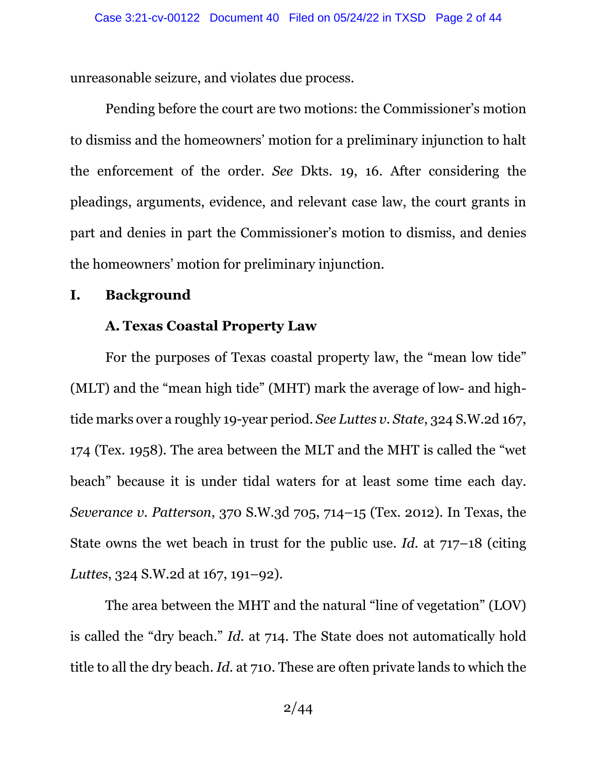unreasonable seizure, and violates due process.

Pending before the court are two motions: the Commissioner's motion to dismiss and the homeowners' motion for a preliminary injunction to halt the enforcement of the order. *See* Dkts. 19, 16. After considering the pleadings, arguments, evidence, and relevant case law, the court grants in part and denies in part the Commissioner's motion to dismiss, and denies the homeowners' motion for preliminary injunction.

#### **I. Background**

#### **A. Texas Coastal Property Law**

For the purposes of Texas coastal property law, the "mean low tide" (MLT) and the "mean high tide" (MHT) mark the average of low- and hightide marks over a roughly 19-year period. *See Luttes v. State*, 324 S.W.2d 167, 174 (Tex. 1958). The area between the MLT and the MHT is called the "wet beach" because it is under tidal waters for at least some time each day. *Severance v. Patterson*, 370 S.W.3d 705, 714–15 (Tex. 2012). In Texas, the State owns the wet beach in trust for the public use. *Id.* at 717–18 (citing *Luttes*, 324 S.W.2d at 167, 191–92).

The area between the MHT and the natural "line of vegetation" (LOV) is called the "dry beach." *Id.* at 714. The State does not automatically hold title to all the dry beach. *Id.* at 710. These are often private lands to which the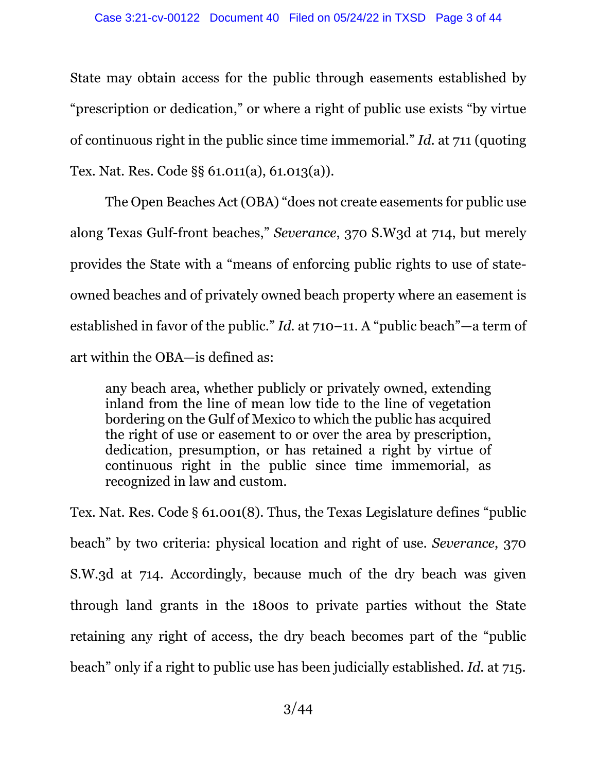State may obtain access for the public through easements established by "prescription or dedication," or where a right of public use exists "by virtue of continuous right in the public since time immemorial." *Id.* at 711 (quoting Tex. Nat. Res. Code §§ 61.011(a), 61.013(a)).

The Open Beaches Act (OBA) "does not create easements for public use along Texas Gulf-front beaches," *Severance*, 370 S.W3d at 714, but merely provides the State with a "means of enforcing public rights to use of stateowned beaches and of privately owned beach property where an easement is established in favor of the public." *Id.* at 710–11. A "public beach"—a term of art within the OBA—is defined as:

any beach area, whether publicly or privately owned, extending inland from the line of mean low tide to the line of vegetation bordering on the Gulf of Mexico to which the public has acquired the right of use or easement to or over the area by prescription, dedication, presumption, or has retained a right by virtue of continuous right in the public since time immemorial, as recognized in law and custom.

Tex. Nat. Res. Code § 61.001(8). Thus, the Texas Legislature defines "public beach" by two criteria: physical location and right of use. *Severance*, 370 S.W.3d at 714. Accordingly, because much of the dry beach was given through land grants in the 1800s to private parties without the State retaining any right of access, the dry beach becomes part of the "public beach" only if a right to public use has been judicially established. *Id.* at 715.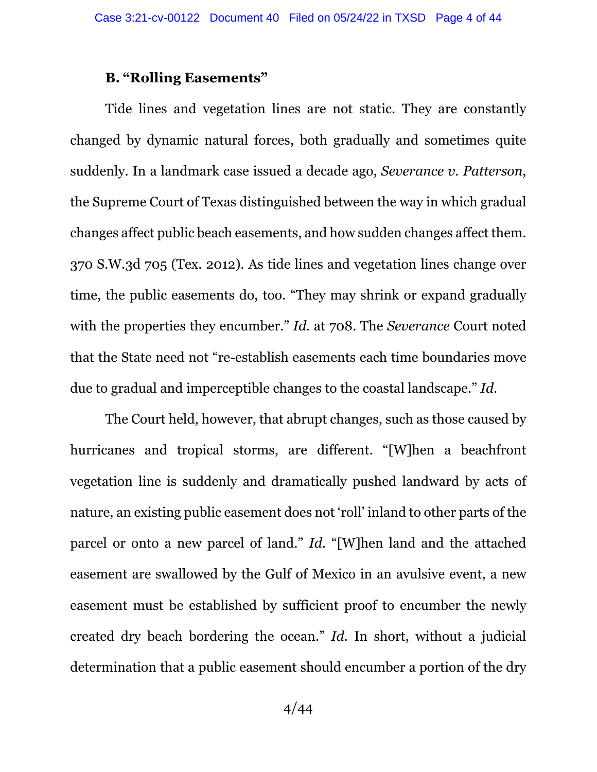## **B. "Rolling Easements"**

Tide lines and vegetation lines are not static. They are constantly changed by dynamic natural forces, both gradually and sometimes quite suddenly. In a landmark case issued a decade ago, *Severance v. Patterson*, the Supreme Court of Texas distinguished between the way in which gradual changes affect public beach easements, and how sudden changes affect them. 370 S.W.3d 705 (Tex. 2012). As tide lines and vegetation lines change over time, the public easements do, too. "They may shrink or expand gradually with the properties they encumber." *Id.* at 708. The *Severance* Court noted that the State need not "re-establish easements each time boundaries move due to gradual and imperceptible changes to the coastal landscape." *Id.*

The Court held, however, that abrupt changes, such as those caused by hurricanes and tropical storms, are different. "[W]hen a beachfront vegetation line is suddenly and dramatically pushed landward by acts of nature, an existing public easement does not 'roll' inland to other parts of the parcel or onto a new parcel of land." *Id.* "[W]hen land and the attached easement are swallowed by the Gulf of Mexico in an avulsive event, a new easement must be established by sufficient proof to encumber the newly created dry beach bordering the ocean." *Id.* In short, without a judicial determination that a public easement should encumber a portion of the dry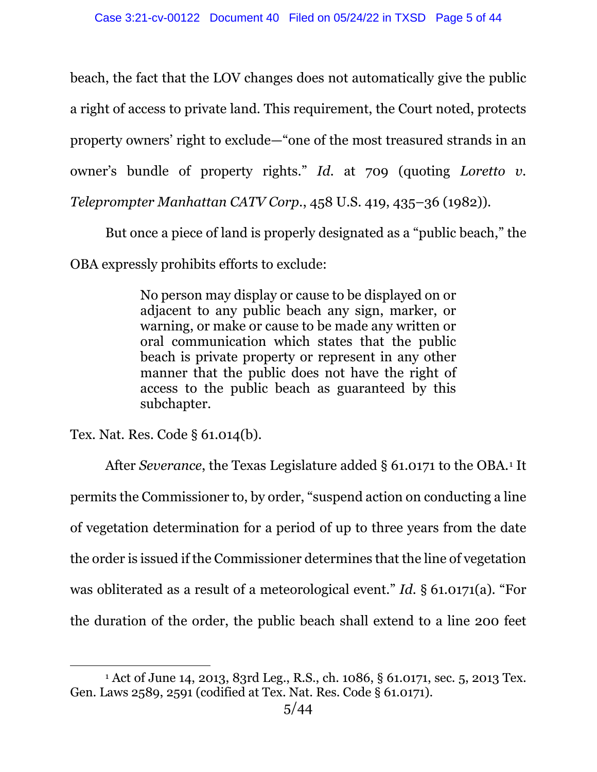beach, the fact that the LOV changes does not automatically give the public a right of access to private land. This requirement, the Court noted, protects property owners' right to exclude—"one of the most treasured strands in an owner's bundle of property rights." *Id.* at 709 (quoting *Loretto v. Teleprompter Manhattan CATV Corp.*, 458 U.S. 419, 435–36 (1982)).

But once a piece of land is properly designated as a "public beach," the

OBA expressly prohibits efforts to exclude:

No person may display or cause to be displayed on or adjacent to any public beach any sign, marker, or warning, or make or cause to be made any written or oral communication which states that the public beach is private property or represent in any other manner that the public does not have the right of access to the public beach as guaranteed by this subchapter.

Tex. Nat. Res. Code § 61.014(b).

After *Severance*, the Texas Legislature added § 6[1](#page-4-0).0171 to the OBA.<sup>1</sup> It permits the Commissioner to, by order, "suspend action on conducting a line of vegetation determination for a period of up to three years from the date the order is issued if the Commissioner determines that the line of vegetation was obliterated as a result of a meteorological event." *Id.* § 61.0171(a). "For the duration of the order, the public beach shall extend to a line 200 feet

<span id="page-4-0"></span><sup>1</sup> Act of June 14, 2013, 83rd Leg., R.S., ch. 1086, § 61.0171, sec. 5, 2013 Tex. Gen. Laws 2589, 2591 (codified at Tex. Nat. Res. Code § 61.0171).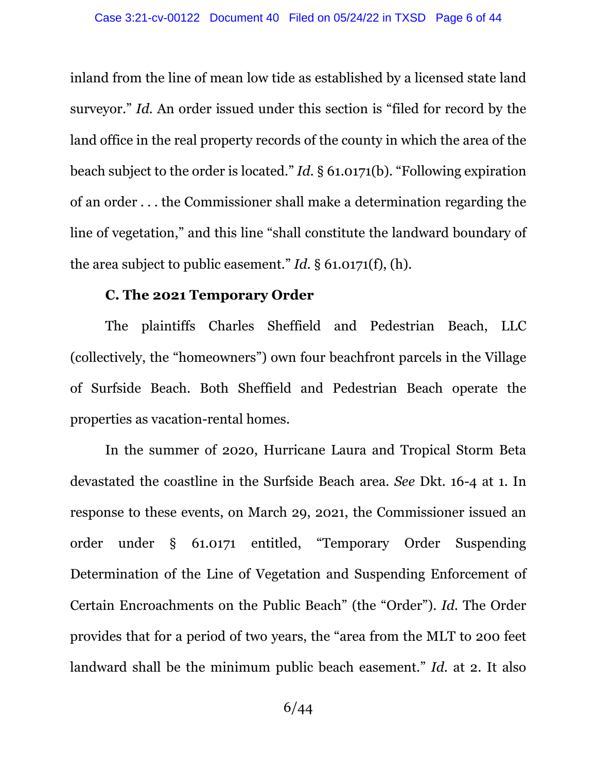inland from the line of mean low tide as established by a licensed state land surveyor." *Id.* An order issued under this section is "filed for record by the land office in the real property records of the county in which the area of the beach subject to the order is located." *Id.* § 61.0171(b). "Following expiration of an order . . . the Commissioner shall make a determination regarding the line of vegetation," and this line "shall constitute the landward boundary of the area subject to public easement." *Id.* § 61.0171(f), (h).

#### **C. The 2021 Temporary Order**

The plaintiffs Charles Sheffield and Pedestrian Beach, LLC (collectively, the "homeowners") own four beachfront parcels in the Village of Surfside Beach. Both Sheffield and Pedestrian Beach operate the properties as vacation-rental homes.

In the summer of 2020, Hurricane Laura and Tropical Storm Beta devastated the coastline in the Surfside Beach area. *See* Dkt. 16-4 at 1. In response to these events, on March 29, 2021, the Commissioner issued an order under § 61.0171 entitled, "Temporary Order Suspending Determination of the Line of Vegetation and Suspending Enforcement of Certain Encroachments on the Public Beach" (the "Order"). *Id.* The Order provides that for a period of two years, the "area from the MLT to 200 feet landward shall be the minimum public beach easement." *Id.* at 2. It also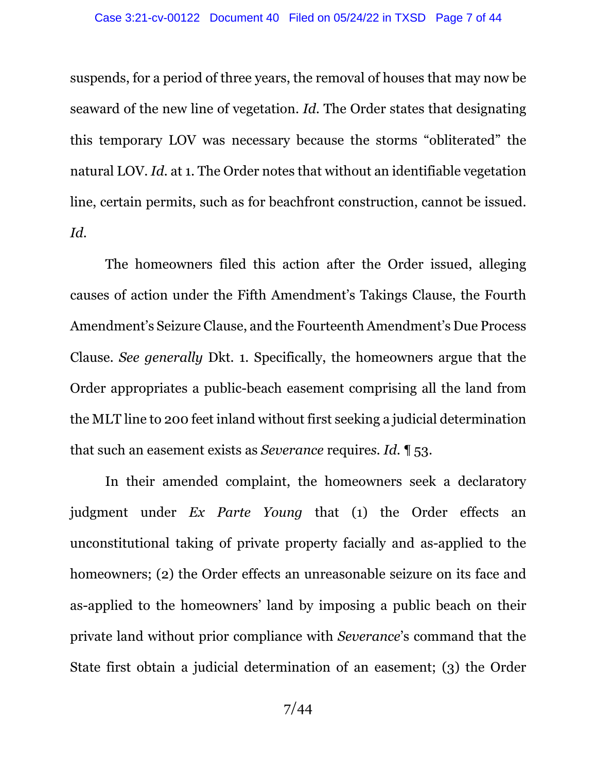suspends, for a period of three years, the removal of houses that may now be seaward of the new line of vegetation. *Id.* The Order states that designating this temporary LOV was necessary because the storms "obliterated" the natural LOV. *Id.* at 1. The Order notes that without an identifiable vegetation line, certain permits, such as for beachfront construction, cannot be issued. *Id.*

The homeowners filed this action after the Order issued, alleging causes of action under the Fifth Amendment's Takings Clause, the Fourth Amendment's Seizure Clause, and the Fourteenth Amendment's Due Process Clause. *See generally* Dkt. 1. Specifically, the homeowners argue that the Order appropriates a public-beach easement comprising all the land from the MLT line to 200 feet inland without first seeking a judicial determination that such an easement exists as *Severance* require*s. Id.* ¶ 53.

In their amended complaint, the homeowners seek a declaratory judgment under *Ex Parte Young* that (1) the Order effects an unconstitutional taking of private property facially and as-applied to the homeowners; (2) the Order effects an unreasonable seizure on its face and as-applied to the homeowners' land by imposing a public beach on their private land without prior compliance with *Severance*'s command that the State first obtain a judicial determination of an easement; (3) the Order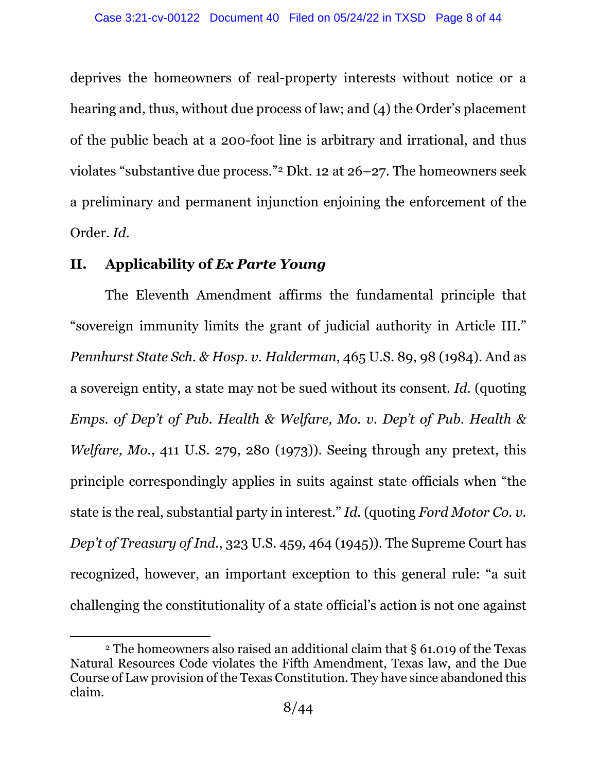deprives the homeowners of real-property interests without notice or a hearing and, thus, without due process of law; and (4) the Order's placement of the public beach at a 200-foot line is arbitrary and irrational, and thus violates "substantive due process."[2](#page-7-0) Dkt. 12 at 26–27. The homeowners seek a preliminary and permanent injunction enjoining the enforcement of the Order. *Id.* 

## **II. Applicability of** *Ex Parte Young*

The Eleventh Amendment affirms the fundamental principle that "sovereign immunity limits the grant of judicial authority in Article III." *Pennhurst State Sch. & Hosp. v. Halderman*, 465 U.S. 89, 98 (1984). And as a sovereign entity, a state may not be sued without its consent. *Id.* (quoting *Emps. of Dep't of Pub. Health & Welfare, Mo. v. Dep't of Pub. Health & Welfare, Mo.*, 411 U.S. 279, 280 (1973)). Seeing through any pretext, this principle correspondingly applies in suits against state officials when "the state is the real, substantial party in interest." *Id.* (quoting *Ford Motor Co. v. Dep't of Treasury of Ind.*, 323 U.S. 459, 464 (1945)). The Supreme Court has recognized, however, an important exception to this general rule: "a suit challenging the constitutionality of a state official's action is not one against

<span id="page-7-0"></span><sup>2</sup> The homeowners also raised an additional claim that § 61.019 of the Texas Natural Resources Code violates the Fifth Amendment, Texas law, and the Due Course of Law provision of the Texas Constitution. They have since abandoned this claim.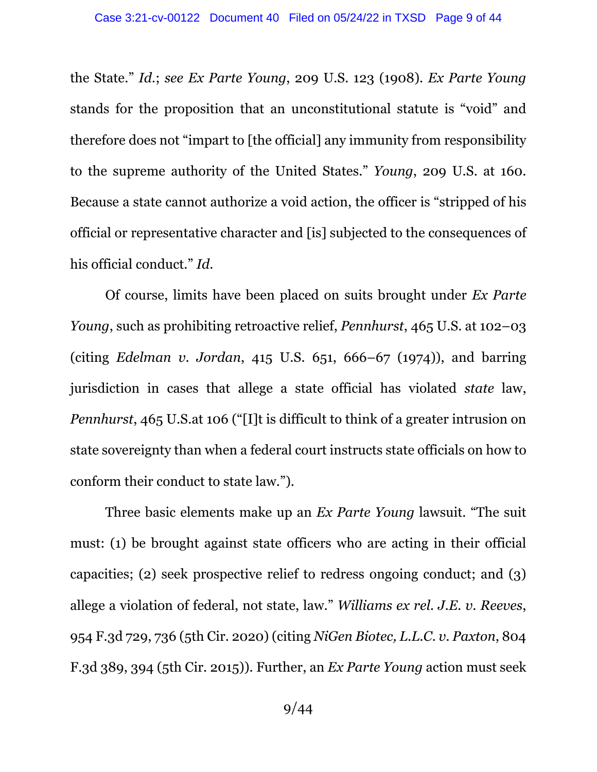the State." *Id.*; *see Ex Parte Young*, 209 U.S. 123 (1908). *Ex Parte Young* stands for the proposition that an unconstitutional statute is "void" and therefore does not "impart to [the official] any immunity from responsibility to the supreme authority of the United States." *Young*, 209 U.S. at 160. Because a state cannot authorize a void action, the officer is "stripped of his official or representative character and [is] subjected to the consequences of his official conduct." *Id*.

Of course, limits have been placed on suits brought under *Ex Parte Young*, such as prohibiting retroactive relief, *Pennhurst*, 465 U.S. at 102–03 (citing *Edelman v. Jordan*, 415 U.S. 651, 666–67 (1974)), and barring jurisdiction in cases that allege a state official has violated *state* law, *Pennhurst*, 465 U.S.at 106 ("[I]t is difficult to think of a greater intrusion on state sovereignty than when a federal court instructs state officials on how to conform their conduct to state law.").

Three basic elements make up an *Ex Parte Young* lawsuit. "The suit must: (1) be brought against state officers who are acting in their official capacities; (2) seek prospective relief to redress ongoing conduct; and (3) allege a violation of federal, not state, law." *Williams ex rel. J.E. v. Reeves*, 954 F.3d 729, 736 (5th Cir. 2020) (citing *NiGen Biotec, L.L.C. v. Paxton*, 804 F.3d 389, 394 (5th Cir. 2015)). Further, an *Ex Parte Young* action must seek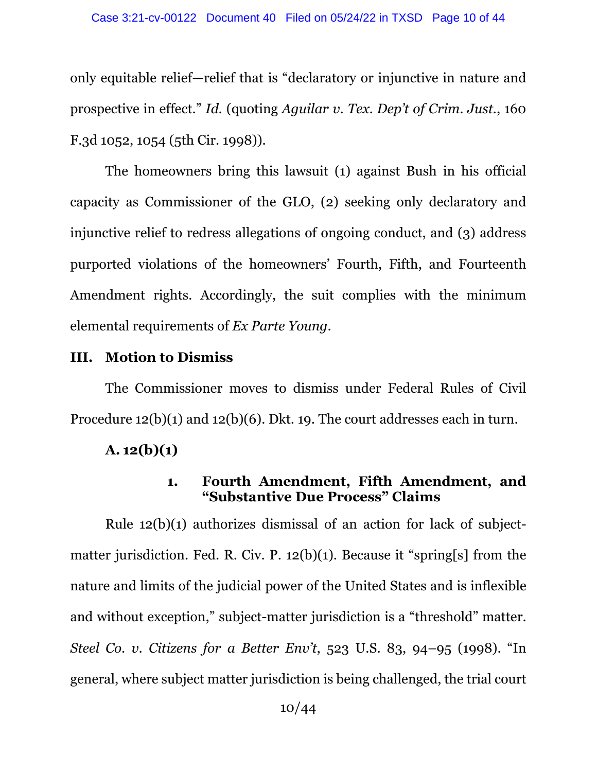only equitable relief—relief that is "declaratory or injunctive in nature and prospective in effect." *Id.* (quoting *Aguilar v. Tex. Dep't of Crim. Just.*, 160 F.3d 1052, 1054 (5th Cir. 1998)).

The homeowners bring this lawsuit (1) against Bush in his official capacity as Commissioner of the GLO, (2) seeking only declaratory and injunctive relief to redress allegations of ongoing conduct, and (3) address purported violations of the homeowners' Fourth, Fifth, and Fourteenth Amendment rights. Accordingly, the suit complies with the minimum elemental requirements of *Ex Parte Young*.

#### **III. Motion to Dismiss**

The Commissioner moves to dismiss under Federal Rules of Civil Procedure 12(b)(1) and 12(b)(6). Dkt. 19. The court addresses each in turn.

## $A. 12(b)(1)$

## **1. Fourth Amendment, Fifth Amendment, and "Substantive Due Process" Claims**

Rule 12(b)(1) authorizes dismissal of an action for lack of subjectmatter jurisdiction. Fed. R. Civ. P. 12(b)(1). Because it "spring[s] from the nature and limits of the judicial power of the United States and is inflexible and without exception," subject-matter jurisdiction is a "threshold" matter. *Steel Co. v. Citizens for a Better Env't*, 523 U.S. 83, 94–95 (1998). "In general, where subject matter jurisdiction is being challenged, the trial court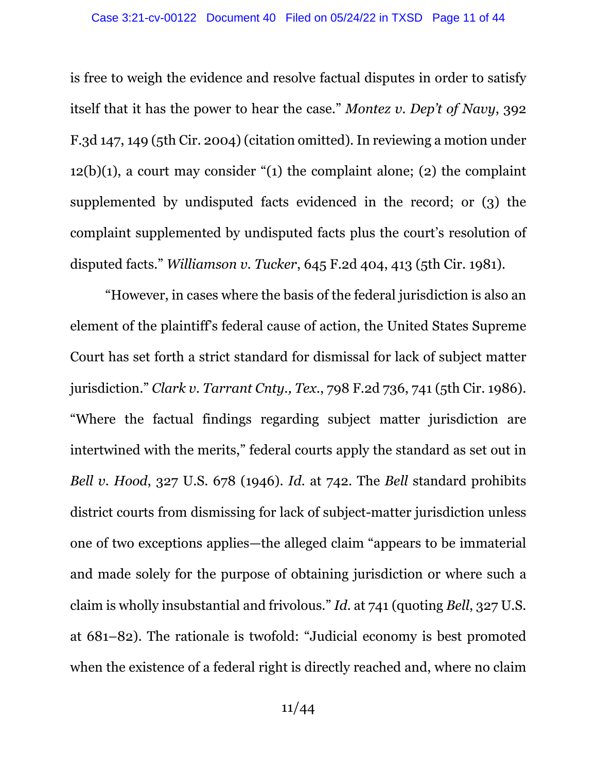is free to weigh the evidence and resolve factual disputes in order to satisfy itself that it has the power to hear the case." *Montez v. Dep't of Navy*, 392 F.3d 147, 149 (5th Cir. 2004) (citation omitted). In reviewing a motion under  $12(b)(1)$ , a court may consider "(1) the complaint alone; (2) the complaint supplemented by undisputed facts evidenced in the record; or (3) the complaint supplemented by undisputed facts plus the court's resolution of disputed facts." *Williamson v. Tucker*, 645 F.2d 404, 413 (5th Cir. 1981).

"However, in cases where the basis of the federal jurisdiction is also an element of the plaintiff's federal cause of action, the United States Supreme Court has set forth a strict standard for dismissal for lack of subject matter jurisdiction." *Clark v. Tarrant Cnty., Tex.*, 798 F.2d 736, 741 (5th Cir. 1986). "Where the factual findings regarding subject matter jurisdiction are intertwined with the merits," federal courts apply the standard as set out in *Bell v. Hood*, 327 U.S. 678 (1946). *Id.* at 742. The *Bell* standard prohibits district courts from dismissing for lack of subject-matter jurisdiction unless one of two exceptions applies—the alleged claim "appears to be immaterial and made solely for the purpose of obtaining jurisdiction or where such a claim is wholly insubstantial and frivolous." *Id.* at 741 (quoting *Bell*, 327 U.S. at 681–82). The rationale is twofold: "Judicial economy is best promoted when the existence of a federal right is directly reached and, where no claim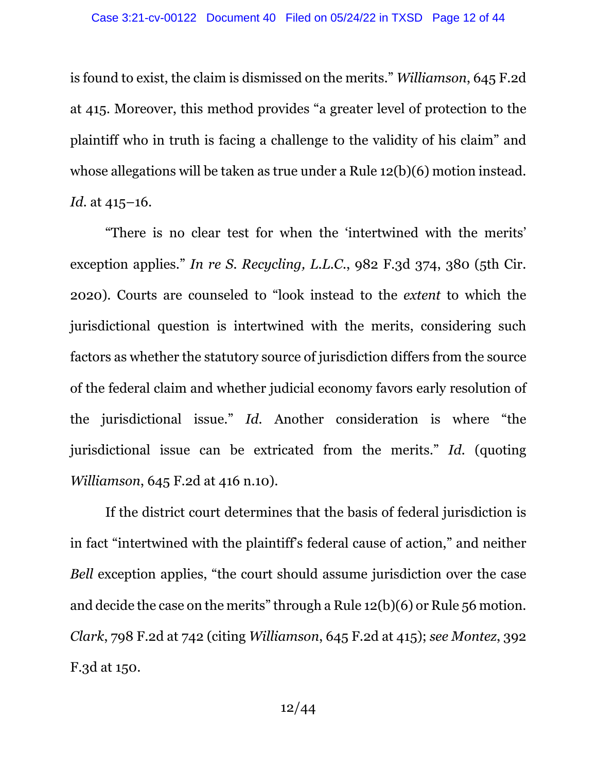is found to exist, the claim is dismissed on the merits." *Williamson*, 645 F.2d at 415. Moreover, this method provides "a greater level of protection to the plaintiff who in truth is facing a challenge to the validity of his claim" and whose allegations will be taken as true under a Rule 12(b)(6) motion instead. *Id.* at 415–16.

"There is no clear test for when the 'intertwined with the merits' exception applies." *In re S. Recycling, L.L.C.*, 982 F.3d 374, 380 (5th Cir. 2020). Courts are counseled to "look instead to the *extent* to which the jurisdictional question is intertwined with the merits, considering such factors as whether the statutory source of jurisdiction differs from the source of the federal claim and whether judicial economy favors early resolution of the jurisdictional issue." *Id.* Another consideration is where "the jurisdictional issue can be extricated from the merits." *Id.* (quoting *Williamson*, 645 F.2d at 416 n.10).

If the district court determines that the basis of federal jurisdiction is in fact "intertwined with the plaintiff's federal cause of action," and neither *Bell* exception applies, "the court should assume jurisdiction over the case and decide the case on the merits" through a Rule 12(b)(6) or Rule 56 motion. *Clark*, 798 F.2d at 742 (citing *Williamson*, 645 F.2d at 415); *see Montez*, 392 F.3d at 150.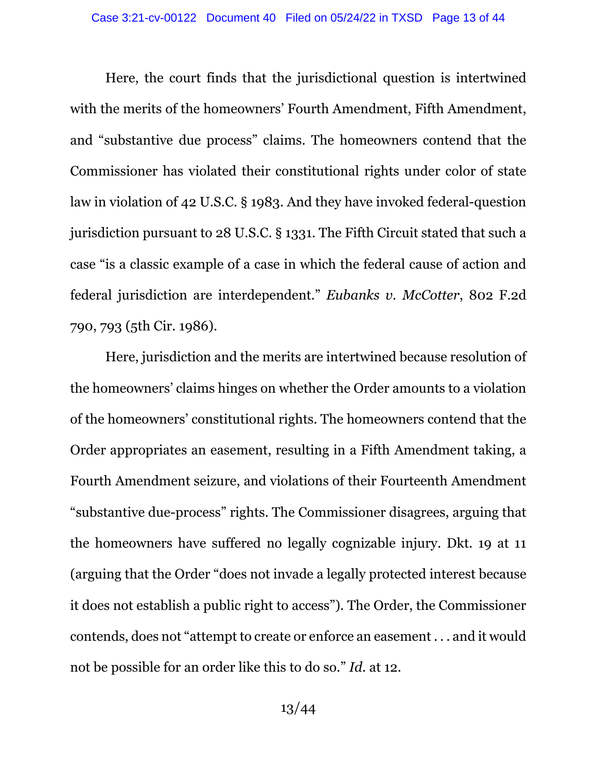Here, the court finds that the jurisdictional question is intertwined with the merits of the homeowners' Fourth Amendment, Fifth Amendment, and "substantive due process" claims. The homeowners contend that the Commissioner has violated their constitutional rights under color of state law in violation of 42 U.S.C. § 1983. And they have invoked federal-question jurisdiction pursuant to 28 U.S.C. § 1331. The Fifth Circuit stated that such a case "is a classic example of a case in which the federal cause of action and federal jurisdiction are interdependent." *Eubanks v. McCotter*, 802 F.2d 790, 793 (5th Cir. 1986).

Here, jurisdiction and the merits are intertwined because resolution of the homeowners' claims hinges on whether the Order amounts to a violation of the homeowners' constitutional rights. The homeowners contend that the Order appropriates an easement, resulting in a Fifth Amendment taking, a Fourth Amendment seizure, and violations of their Fourteenth Amendment "substantive due-process" rights. The Commissioner disagrees, arguing that the homeowners have suffered no legally cognizable injury. Dkt. 19 at 11 (arguing that the Order "does not invade a legally protected interest because it does not establish a public right to access"). The Order, the Commissioner contends, does not "attempt to create or enforce an easement . . . and it would not be possible for an order like this to do so." *Id.* at 12.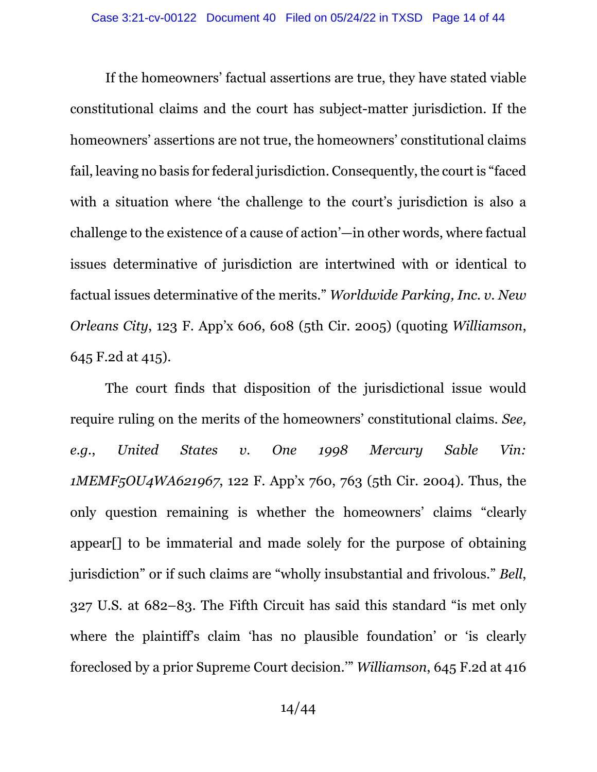If the homeowners' factual assertions are true, they have stated viable constitutional claims and the court has subject-matter jurisdiction. If the homeowners' assertions are not true, the homeowners' constitutional claims fail, leaving no basis for federal jurisdiction. Consequently, the court is "faced with a situation where 'the challenge to the court's jurisdiction is also a challenge to the existence of a cause of action'—in other words, where factual issues determinative of jurisdiction are intertwined with or identical to factual issues determinative of the merits." *Worldwide Parking, Inc. v. New Orleans City*, 123 F. App'x 606, 608 (5th Cir. 2005) (quoting *Williamson*, 645 F.2d at 415).

The court finds that disposition of the jurisdictional issue would require ruling on the merits of the homeowners' constitutional claims. *See, e.g.*, *United States v. One 1998 Mercury Sable Vin: 1MEMF5OU4WA621967*, 122 F. App'x 760, 763 (5th Cir. 2004). Thus, the only question remaining is whether the homeowners' claims "clearly appear[] to be immaterial and made solely for the purpose of obtaining jurisdiction" or if such claims are "wholly insubstantial and frivolous." *Bell*, 327 U.S. at 682–83. The Fifth Circuit has said this standard "is met only where the plaintiff's claim 'has no plausible foundation' or 'is clearly foreclosed by a prior Supreme Court decision.'" *Williamson*, 645 F.2d at 416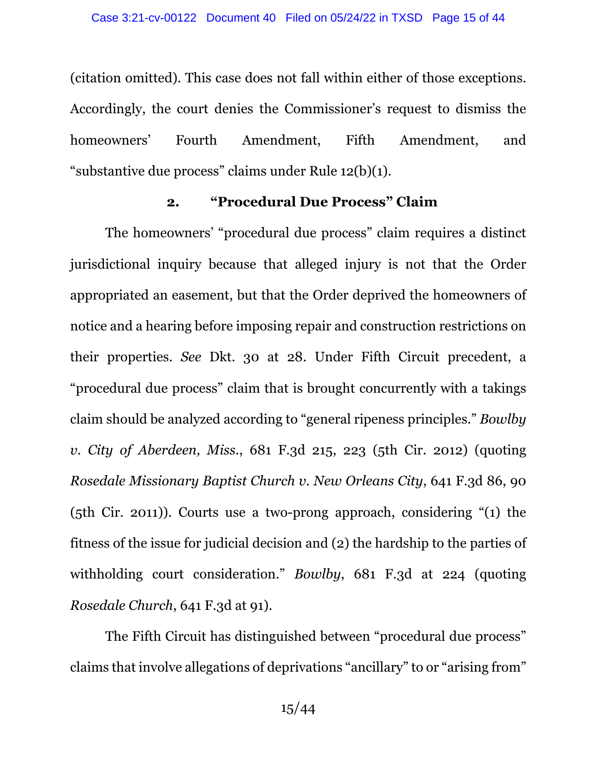(citation omitted). This case does not fall within either of those exceptions. Accordingly, the court denies the Commissioner's request to dismiss the homeowners' Fourth Amendment, Fifth Amendment, and "substantive due process" claims under Rule 12(b)(1).

### **2. "Procedural Due Process" Claim**

The homeowners' "procedural due process" claim requires a distinct jurisdictional inquiry because that alleged injury is not that the Order appropriated an easement, but that the Order deprived the homeowners of notice and a hearing before imposing repair and construction restrictions on their properties. *See* Dkt. 30 at 28. Under Fifth Circuit precedent, a "procedural due process" claim that is brought concurrently with a takings claim should be analyzed according to "general ripeness principles." *Bowlby v. City of Aberdeen, Miss.*, 681 F.3d 215, 223 (5th Cir. 2012) (quoting *Rosedale Missionary Baptist Church v. New Orleans City*, 641 F.3d 86, 90 (5th Cir. 2011)). Courts use a two-prong approach, considering "(1) the fitness of the issue for judicial decision and (2) the hardship to the parties of withholding court consideration." *Bowlby*, 681 F.3d at 224 (quoting *Rosedale Church*, 641 F.3d at 91).

The Fifth Circuit has distinguished between "procedural due process" claims that involve allegations of deprivations "ancillary" to or "arising from"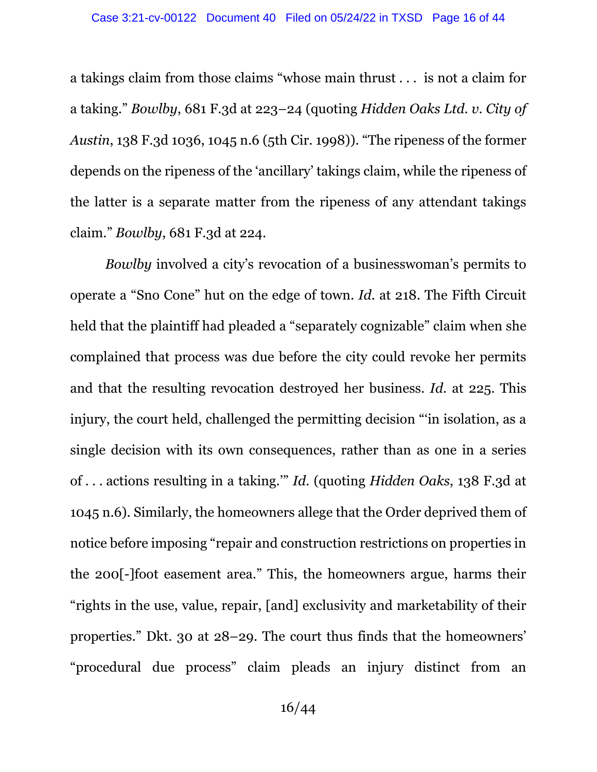a takings claim from those claims "whose main thrust . . . is not a claim for a taking." *Bowlby*, 681 F.3d at 223–24 (quoting *Hidden Oaks Ltd. v. City of Austin*, 138 F.3d 1036, 1045 n.6 (5th Cir. 1998)). "The ripeness of the former depends on the ripeness of the 'ancillary' takings claim, while the ripeness of the latter is a separate matter from the ripeness of any attendant takings claim." *Bowlby*, 681 F.3d at 224.

*Bowlby* involved a city's revocation of a businesswoman's permits to operate a "Sno Cone" hut on the edge of town. *Id.* at 218. The Fifth Circuit held that the plaintiff had pleaded a "separately cognizable" claim when she complained that process was due before the city could revoke her permits and that the resulting revocation destroyed her business. *Id.* at 225. This injury, the court held, challenged the permitting decision "'in isolation, as a single decision with its own consequences, rather than as one in a series of . . . actions resulting in a taking.'" *Id.* (quoting *Hidden Oaks*, 138 F.3d at 1045 n.6). Similarly, the homeowners allege that the Order deprived them of notice before imposing "repair and construction restrictions on properties in the 200[-]foot easement area." This, the homeowners argue, harms their "rights in the use, value, repair, [and] exclusivity and marketability of their properties." Dkt. 30 at 28–29. The court thus finds that the homeowners' "procedural due process" claim pleads an injury distinct from an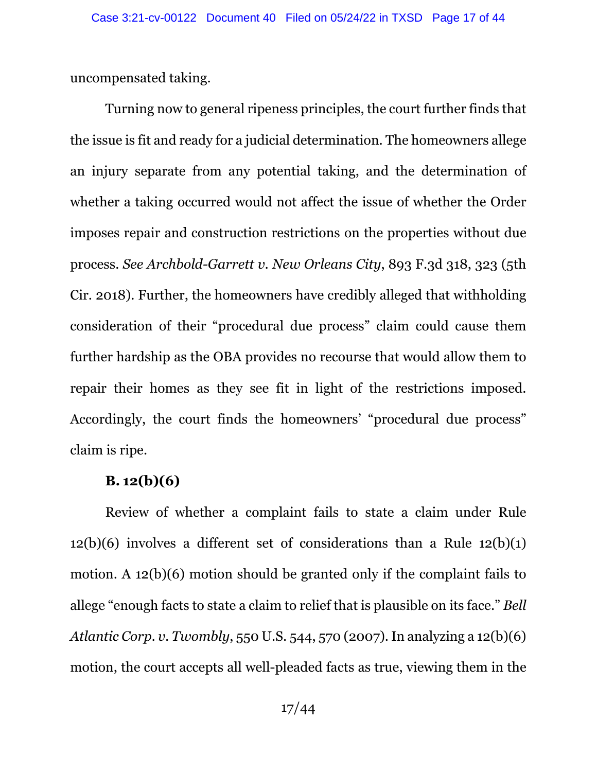uncompensated taking.

Turning now to general ripeness principles, the court further finds that the issue is fit and ready for a judicial determination. The homeowners allege an injury separate from any potential taking, and the determination of whether a taking occurred would not affect the issue of whether the Order imposes repair and construction restrictions on the properties without due process. *See Archbold-Garrett v. New Orleans City*, 893 F.3d 318, 323 (5th Cir. 2018). Further, the homeowners have credibly alleged that withholding consideration of their "procedural due process" claim could cause them further hardship as the OBA provides no recourse that would allow them to repair their homes as they see fit in light of the restrictions imposed. Accordingly, the court finds the homeowners' "procedural due process" claim is ripe.

#### **B. 12(b)(6)**

Review of whether a complaint fails to state a claim under Rule  $12(b)(6)$  involves a different set of considerations than a Rule  $12(b)(1)$ motion. A 12(b)(6) motion should be granted only if the complaint fails to allege "enough facts to state a claim to relief that is plausible on its face." *Bell Atlantic Corp. v. Twombly*, 550 U.S. 544, 570 (2007). In analyzing a 12(b)(6) motion, the court accepts all well-pleaded facts as true, viewing them in the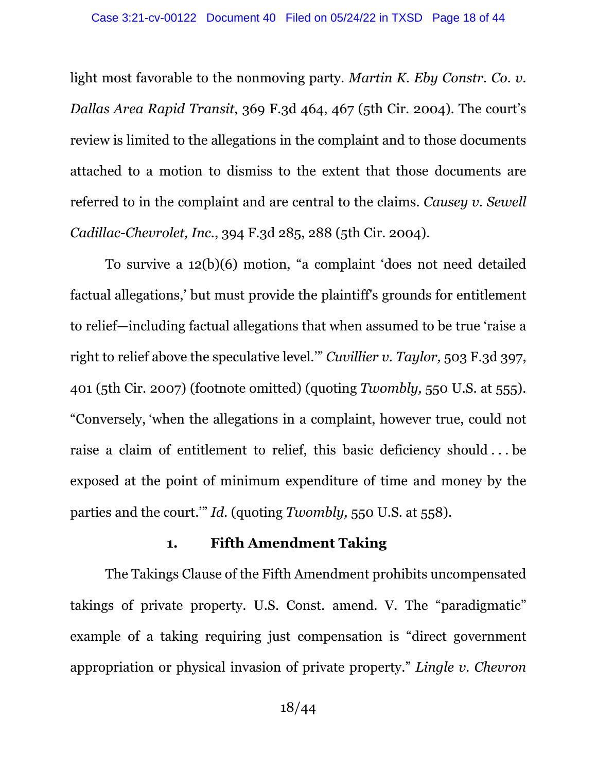light most favorable to the nonmoving party. *Martin K. Eby Constr. Co. v. Dallas Area Rapid Transit*, 369 F.3d 464, 467 (5th Cir. 2004). The court's review is limited to the allegations in the complaint and to those documents attached to a motion to dismiss to the extent that those documents are referred to in the complaint and are central to the claims. *Causey v. Sewell Cadillac-Chevrolet, Inc.*, 394 F.3d 285, 288 (5th Cir. 2004).

To survive a 12(b)(6) motion, "a complaint 'does not need detailed factual allegations,' but must provide the plaintiff's grounds for entitlement to relief—including factual allegations that when assumed to be true 'raise a right to relief above the speculative level.'" *Cuvillier v. Taylor,* 503 F.3d 397, 401 (5th Cir. 2007) (footnote omitted) (quoting *Twombly,* 550 U.S. at 555). "Conversely, 'when the allegations in a complaint, however true, could not raise a claim of entitlement to relief, this basic deficiency should . . . be exposed at the point of minimum expenditure of time and money by the parties and the court.'" *Id.* (quoting *Twombly,* 550 U.S. at 558).

#### **1. Fifth Amendment Taking**

The Takings Clause of the Fifth Amendment prohibits uncompensated takings of private property. U.S. Const. amend. V. The "paradigmatic" example of a taking requiring just compensation is "direct government appropriation or physical invasion of private property." *Lingle v. Chevron*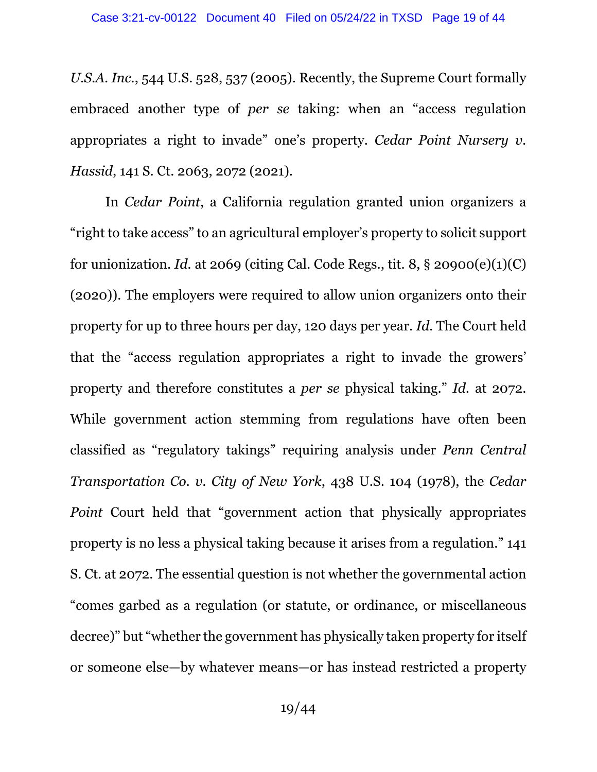*U.S.A. Inc.*, 544 U.S. 528, 537 (2005). Recently, the Supreme Court formally embraced another type of *per se* taking: when an "access regulation appropriates a right to invade" one's property. *Cedar Point Nursery v. Hassid*, 141 S. Ct. 2063, 2072 (2021).

In *Cedar Point*, a California regulation granted union organizers a "right to take access" to an agricultural employer's property to solicit support for unionization. *Id.* at 2069 (citing Cal. Code Regs., tit. 8, § 20900(e)(1)(C) (2020)). The employers were required to allow union organizers onto their property for up to three hours per day, 120 days per year. *Id.* The Court held that the "access regulation appropriates a right to invade the growers' property and therefore constitutes a *per se* physical taking." *Id.* at 2072. While government action stemming from regulations have often been classified as "regulatory takings" requiring analysis under *Penn Central Transportation Co. v. City of New York*, 438 U.S. 104 (1978), the *Cedar Point* Court held that "government action that physically appropriates property is no less a physical taking because it arises from a regulation." 141 S. Ct. at 2072. The essential question is not whether the governmental action "comes garbed as a regulation (or statute, or ordinance, or miscellaneous decree)" but "whether the government has physically taken property for itself or someone else—by whatever means—or has instead restricted a property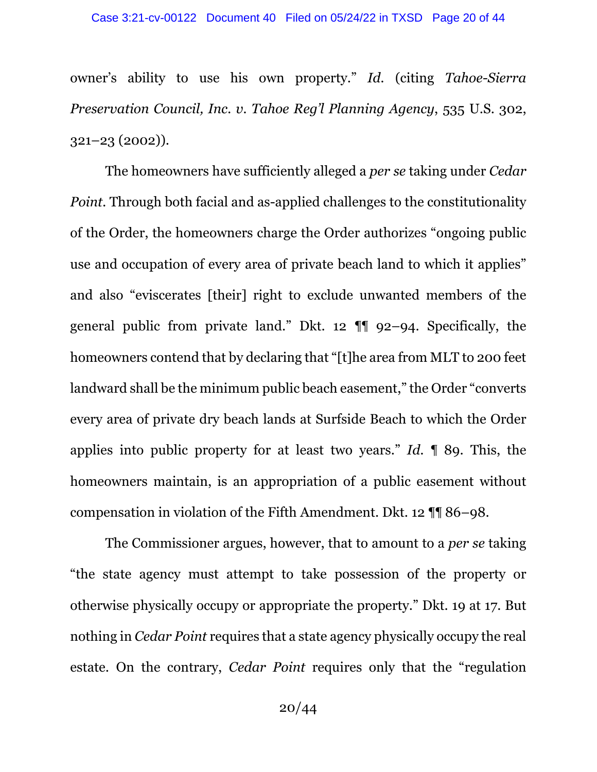owner's ability to use his own property." *Id.* (citing *Tahoe-Sierra Preservation Council, Inc. v. Tahoe Reg'l Planning Agency*, 535 U.S. 302, 321–23 (2002)).

The homeowners have sufficiently alleged a *per se* taking under *Cedar Point.* Through both facial and as-applied challenges to the constitutionality of the Order, the homeowners charge the Order authorizes "ongoing public use and occupation of every area of private beach land to which it applies" and also "eviscerates [their] right to exclude unwanted members of the general public from private land." Dkt. 12 ¶¶ 92–94. Specifically, the homeowners contend that by declaring that "[t]he area from MLT to 200 feet landward shall be the minimum public beach easement," the Order "converts every area of private dry beach lands at Surfside Beach to which the Order applies into public property for at least two years." *Id.* ¶ 89. This, the homeowners maintain, is an appropriation of a public easement without compensation in violation of the Fifth Amendment. Dkt. 12 ¶¶ 86–98.

The Commissioner argues, however, that to amount to a *per se* taking "the state agency must attempt to take possession of the property or otherwise physically occupy or appropriate the property." Dkt. 19 at 17. But nothing in *Cedar Point* requires that a state agency physically occupy the real estate. On the contrary, *Cedar Point* requires only that the "regulation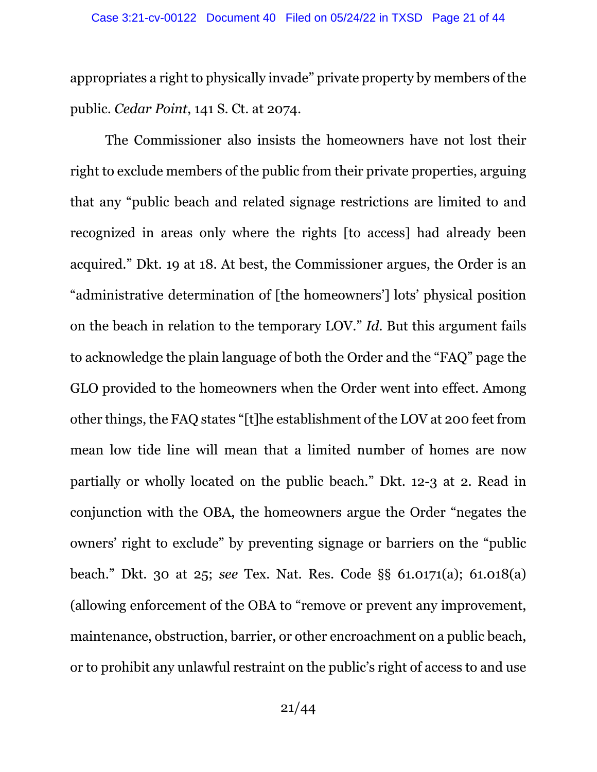appropriates a right to physically invade" private property by members of the public. *Cedar Point*, 141 S. Ct. at 2074.

The Commissioner also insists the homeowners have not lost their right to exclude members of the public from their private properties, arguing that any "public beach and related signage restrictions are limited to and recognized in areas only where the rights [to access] had already been acquired." Dkt. 19 at 18. At best, the Commissioner argues, the Order is an "administrative determination of [the homeowners'] lots' physical position on the beach in relation to the temporary LOV." *Id.* But this argument fails to acknowledge the plain language of both the Order and the "FAQ" page the GLO provided to the homeowners when the Order went into effect. Among other things, the FAQ states "[t]he establishment of the LOV at 200 feet from mean low tide line will mean that a limited number of homes are now partially or wholly located on the public beach." Dkt. 12-3 at 2. Read in conjunction with the OBA, the homeowners argue the Order "negates the owners' right to exclude" by preventing signage or barriers on the "public beach." Dkt. 30 at 25; *see* Tex. Nat. Res. Code §§ 61.0171(a); 61.018(a) (allowing enforcement of the OBA to "remove or prevent any improvement, maintenance, obstruction, barrier, or other encroachment on a public beach, or to prohibit any unlawful restraint on the public's right of access to and use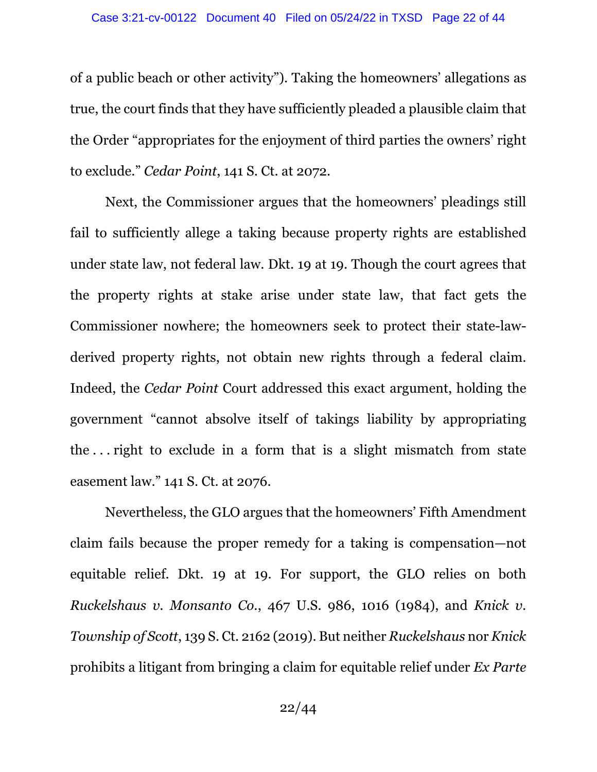of a public beach or other activity"). Taking the homeowners' allegations as true, the court finds that they have sufficiently pleaded a plausible claim that the Order "appropriates for the enjoyment of third parties the owners' right to exclude." *Cedar Point*, 141 S. Ct. at 2072.

Next, the Commissioner argues that the homeowners' pleadings still fail to sufficiently allege a taking because property rights are established under state law, not federal law. Dkt. 19 at 19. Though the court agrees that the property rights at stake arise under state law, that fact gets the Commissioner nowhere; the homeowners seek to protect their state-lawderived property rights, not obtain new rights through a federal claim. Indeed, the *Cedar Point* Court addressed this exact argument, holding the government "cannot absolve itself of takings liability by appropriating the . . . right to exclude in a form that is a slight mismatch from state easement law." 141 S. Ct. at 2076.

Nevertheless, the GLO argues that the homeowners' Fifth Amendment claim fails because the proper remedy for a taking is compensation—not equitable relief. Dkt. 19 at 19. For support, the GLO relies on both *Ruckelshaus v. Monsanto Co.*, 467 U.S. 986, 1016 (1984), and *Knick v. Township of Scott*, 139 S. Ct. 2162 (2019). But neither *Ruckelshaus* nor *Knick* prohibits a litigant from bringing a claim for equitable relief under *Ex Parte*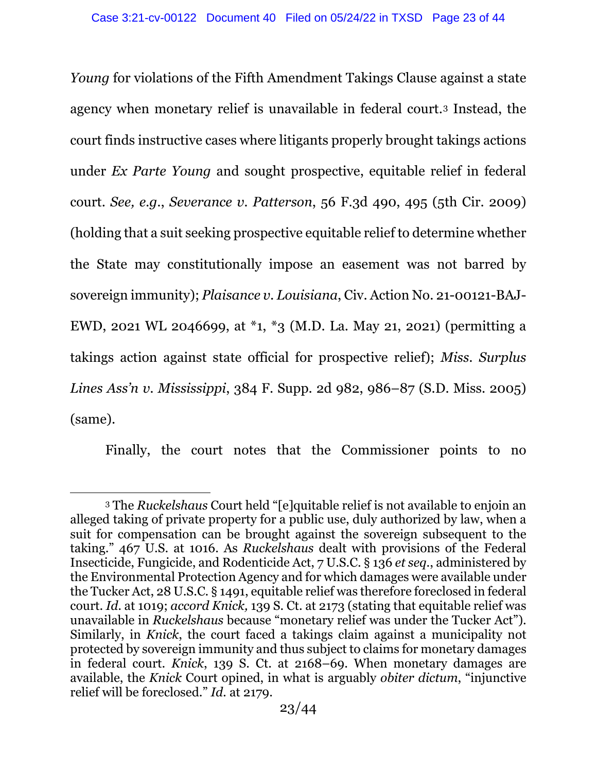*Young* for violations of the Fifth Amendment Takings Clause against a state agency when monetary relief is unavailable in federal court.[3](#page-22-0) Instead, the court finds instructive cases where litigants properly brought takings actions under *Ex Parte Young* and sought prospective, equitable relief in federal court. *See, e.g.*, *Severance v. Patterson*, 56 F.3d 490, 495 (5th Cir. 2009) (holding that a suit seeking prospective equitable relief to determine whether the State may constitutionally impose an easement was not barred by sovereign immunity); *Plaisance v. Louisiana*, Civ. Action No. 21-00121-BAJ-EWD, 2021 WL 2046699, at \*1, \*3 (M.D. La. May 21, 2021) (permitting a takings action against state official for prospective relief); *Miss. Surplus Lines Ass'n v. Mississippi*, 384 F. Supp. 2d 982, 986–87 (S.D. Miss. 2005) (same).

Finally, the court notes that the Commissioner points to no

<span id="page-22-0"></span><sup>3</sup> The *Ruckelshaus* Court held "[e]quitable relief is not available to enjoin an alleged taking of private property for a public use, duly authorized by law, when a suit for compensation can be brought against the sovereign subsequent to the taking." 467 U.S. at 1016. As *Ruckelshaus* dealt with provisions of the Federal Insecticide, Fungicide, and Rodenticide Act, 7 U.S.C. § 136 *et seq*., administered by the Environmental Protection Agency and for which damages were available under the Tucker Act, 28 U.S.C. § 1491, equitable relief was therefore foreclosed in federal court. *Id.* at 1019; *accord Knick,* 139 S. Ct. at 2173 (stating that equitable relief was unavailable in *Ruckelshaus* because "monetary relief was under the Tucker Act"). Similarly, in *Knick*, the court faced a takings claim against a municipality not protected by sovereign immunity and thus subject to claims for monetary damages in federal court. *Knick*, 139 S. Ct. at 2168–69. When monetary damages are available, the *Knick* Court opined, in what is arguably *obiter dictum*, "injunctive relief will be foreclosed." *Id.* at 2179.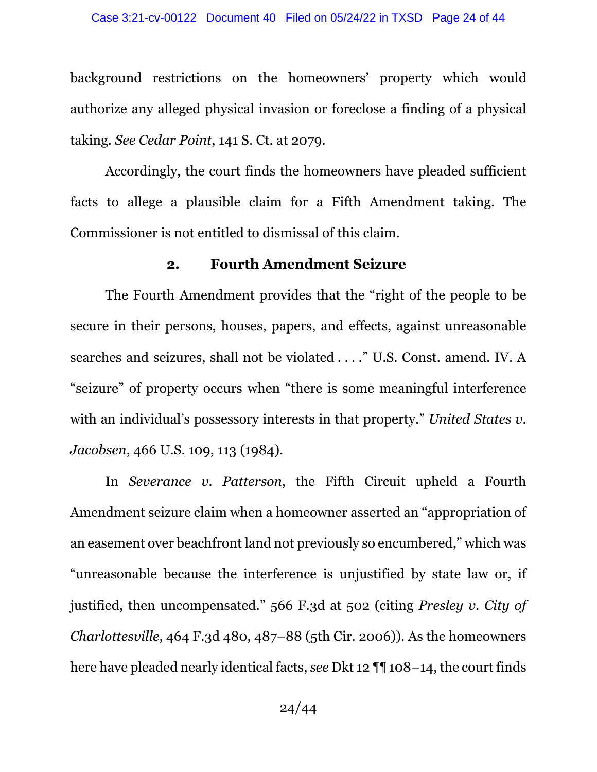background restrictions on the homeowners' property which would authorize any alleged physical invasion or foreclose a finding of a physical taking. *See Cedar Point*, 141 S. Ct. at 2079.

Accordingly, the court finds the homeowners have pleaded sufficient facts to allege a plausible claim for a Fifth Amendment taking. The Commissioner is not entitled to dismissal of this claim.

#### **2. Fourth Amendment Seizure**

The Fourth Amendment provides that the "right of the people to be secure in their persons, houses, papers, and effects, against unreasonable searches and seizures, shall not be violated . . . ." U.S. Const. amend. IV. A "seizure" of property occurs when "there is some meaningful interference with an individual's possessory interests in that property." *United States v. Jacobsen*, 466 U.S. 109, 113 (1984).

In *Severance v. Patterson*, the Fifth Circuit upheld a Fourth Amendment seizure claim when a homeowner asserted an "appropriation of an easement over beachfront land not previously so encumbered," which was "unreasonable because the interference is unjustified by state law or, if justified, then uncompensated." 566 F.3d at 502 (citing *Presley v. City of Charlottesville*, 464 F.3d 480, 487–88 (5th Cir. 2006)). As the homeowners here have pleaded nearly identical facts, *see* Dkt 12 ¶¶ 108–14, the court finds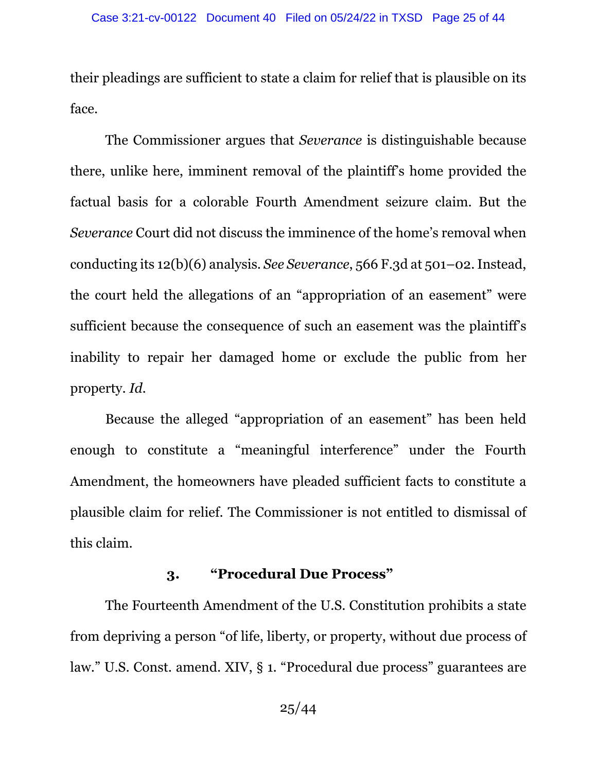their pleadings are sufficient to state a claim for relief that is plausible on its face.

The Commissioner argues that *Severance* is distinguishable because there, unlike here, imminent removal of the plaintiff's home provided the factual basis for a colorable Fourth Amendment seizure claim. But the *Severance* Court did not discuss the imminence of the home's removal when conducting its 12(b)(6) analysis. *See Severance*, 566 F.3d at 501–02. Instead, the court held the allegations of an "appropriation of an easement" were sufficient because the consequence of such an easement was the plaintiff's inability to repair her damaged home or exclude the public from her property. *Id.* 

Because the alleged "appropriation of an easement" has been held enough to constitute a "meaningful interference" under the Fourth Amendment, the homeowners have pleaded sufficient facts to constitute a plausible claim for relief. The Commissioner is not entitled to dismissal of this claim.

### **3. "Procedural Due Process"**

The Fourteenth Amendment of the U.S. Constitution prohibits a state from depriving a person "of life, liberty, or property, without due process of law." U.S. Const. amend. XIV, § 1. "Procedural due process" guarantees are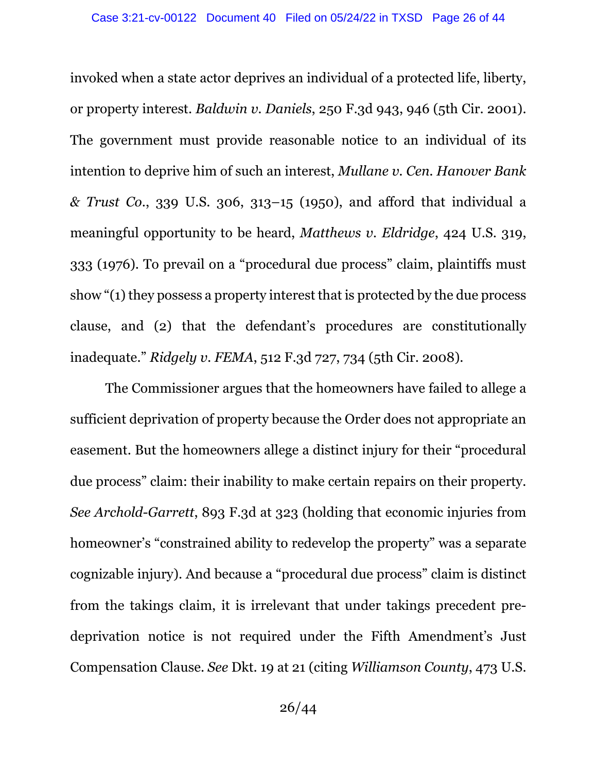invoked when a state actor deprives an individual of a protected life, liberty, or property interest. *Baldwin v. Daniels*, 250 F.3d 943, 946 (5th Cir. 2001). The government must provide reasonable notice to an individual of its intention to deprive him of such an interest, *Mullane v. Cen. Hanover Bank & Trust Co*., 339 U.S. 306, 313–15 (1950), and afford that individual a meaningful opportunity to be heard, *Matthews v. Eldridge*, 424 U.S. 319, 333 (1976). To prevail on a "procedural due process" claim, plaintiffs must show "(1) they possess a property interest that is protected by the due process clause, and (2) that the defendant's procedures are constitutionally inadequate." *Ridgely v. FEMA*, 512 F.3d 727, 734 (5th Cir. 2008).

The Commissioner argues that the homeowners have failed to allege a sufficient deprivation of property because the Order does not appropriate an easement. But the homeowners allege a distinct injury for their "procedural due process" claim: their inability to make certain repairs on their property. *See Archold-Garrett*, 893 F.3d at 323 (holding that economic injuries from homeowner's "constrained ability to redevelop the property" was a separate cognizable injury). And because a "procedural due process" claim is distinct from the takings claim, it is irrelevant that under takings precedent predeprivation notice is not required under the Fifth Amendment's Just Compensation Clause. *See* Dkt. 19 at 21 (citing *Williamson County*, 473 U.S.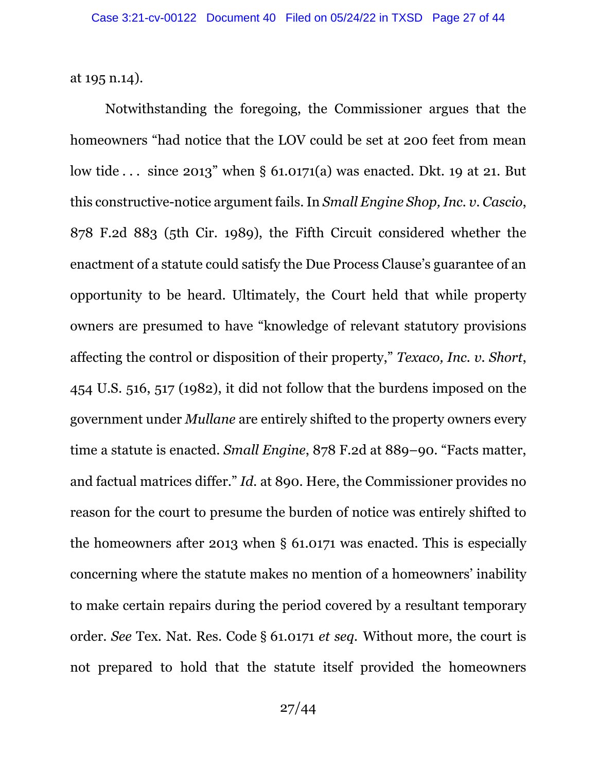at 195 n.14).

Notwithstanding the foregoing, the Commissioner argues that the homeowners "had notice that the LOV could be set at 200 feet from mean low tide . . . since 2013" when § 61.0171(a) was enacted. Dkt. 19 at 21. But this constructive-notice argument fails. In *Small Engine Shop, Inc. v. Cascio*, 878 F.2d 883 (5th Cir. 1989), the Fifth Circuit considered whether the enactment of a statute could satisfy the Due Process Clause's guarantee of an opportunity to be heard. Ultimately, the Court held that while property owners are presumed to have "knowledge of relevant statutory provisions affecting the control or disposition of their property," *Texaco, Inc. v. Short*, 454 U.S. 516, 517 (1982), it did not follow that the burdens imposed on the government under *Mullane* are entirely shifted to the property owners every time a statute is enacted. *Small Engine*, 878 F.2d at 889–90. "Facts matter, and factual matrices differ." *Id.* at 890. Here, the Commissioner provides no reason for the court to presume the burden of notice was entirely shifted to the homeowners after 2013 when § 61.0171 was enacted. This is especially concerning where the statute makes no mention of a homeowners' inability to make certain repairs during the period covered by a resultant temporary order. *See* Tex. Nat. Res. Code § 61.0171 *et seq.* Without more, the court is not prepared to hold that the statute itself provided the homeowners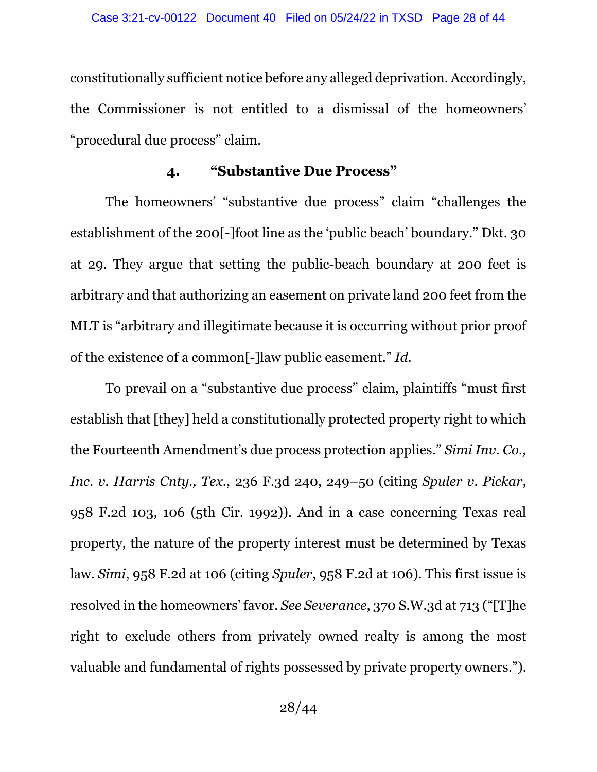constitutionally sufficient notice before any alleged deprivation. Accordingly, the Commissioner is not entitled to a dismissal of the homeowners' "procedural due process" claim.

## **4. "Substantive Due Process"**

The homeowners' "substantive due process" claim "challenges the establishment of the 200[-]foot line as the 'public beach' boundary." Dkt. 30 at 29. They argue that setting the public-beach boundary at 200 feet is arbitrary and that authorizing an easement on private land 200 feet from the MLT is "arbitrary and illegitimate because it is occurring without prior proof of the existence of a common[-]law public easement." *Id.* 

To prevail on a "substantive due process" claim, plaintiffs "must first establish that [they] held a constitutionally protected property right to which the Fourteenth Amendment's due process protection applies." *Simi Inv. Co., Inc. v. Harris Cnty., Tex.*, 236 F.3d 240, 249–50 (citing *Spuler v. Pickar*, 958 F.2d 103, 106 (5th Cir. 1992)). And in a case concerning Texas real property, the nature of the property interest must be determined by Texas law. *Simi*, 958 F.2d at 106 (citing *Spuler*, 958 F.2d at 106). This first issue is resolved in the homeowners' favor. *See Severance*, 370 S.W.3d at 713 ("[T]he right to exclude others from privately owned realty is among the most valuable and fundamental of rights possessed by private property owners.").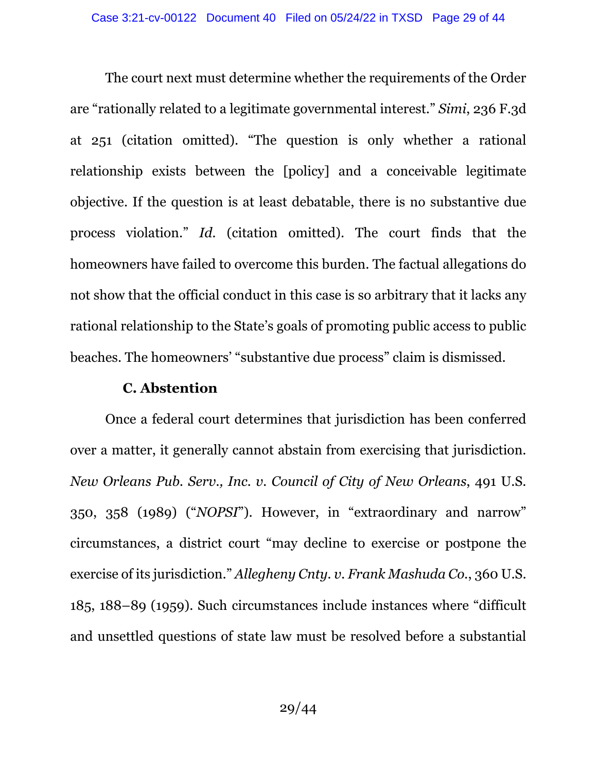The court next must determine whether the requirements of the Order are "rationally related to a legitimate governmental interest." *Simi*, 236 F.3d at 251 (citation omitted). "The question is only whether a rational relationship exists between the [policy] and a conceivable legitimate objective. If the question is at least debatable, there is no substantive due process violation." *Id.* (citation omitted). The court finds that the homeowners have failed to overcome this burden. The factual allegations do not show that the official conduct in this case is so arbitrary that it lacks any rational relationship to the State's goals of promoting public access to public beaches. The homeowners' "substantive due process" claim is dismissed.

### **C. Abstention**

Once a federal court determines that jurisdiction has been conferred over a matter, it generally cannot abstain from exercising that jurisdiction. *New Orleans Pub. Serv., Inc. v. Council of City of New Orleans*, 491 U.S. 350, 358 (1989) ("*NOPSI*"). However, in "extraordinary and narrow" circumstances, a district court "may decline to exercise or postpone the exercise of its jurisdiction." *Allegheny Cnty. v. Frank Mashuda Co.*, 360 U.S. 185, 188–89 (1959). Such circumstances include instances where "difficult and unsettled questions of state law must be resolved before a substantial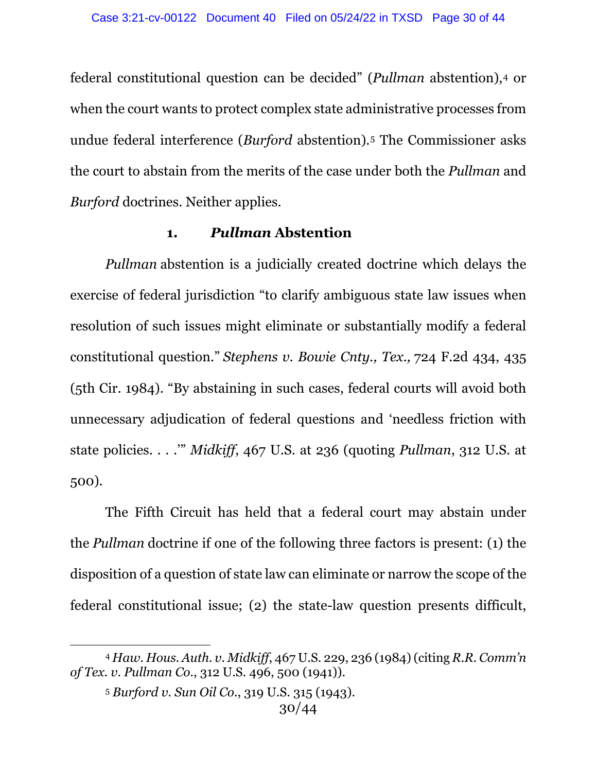federal constitutional question can be decided" (*Pullman* abstention),[4](#page-29-0) or when the court wants to protect complex state administrative processes from undue federal interference (*Burford* abstention).[5](#page-29-1) The Commissioner asks the court to abstain from the merits of the case under both the *Pullman* and *Burford* doctrines. Neither applies.

### **1.** *Pullman* **Abstention**

*Pullman* abstention is a judicially created doctrine which delays the exercise of federal jurisdiction "to clarify ambiguous state law issues when resolution of such issues might eliminate or substantially modify a federal constitutional question." *Stephens v. Bowie Cnty., Tex.,* 724 F.2d 434, 435 (5th Cir. 1984). "By abstaining in such cases, federal courts will avoid both unnecessary adjudication of federal questions and 'needless friction with state policies. . . .'" *Midkiff*, 467 U.S. at 236 (quoting *Pullman*, 312 U.S. at 500).

The Fifth Circuit has held that a federal court may abstain under the *Pullman* doctrine if one of the following three factors is present: (1) the disposition of a question of state law can eliminate or narrow the scope of the federal constitutional issue; (2) the state-law question presents difficult,

<span id="page-29-1"></span><span id="page-29-0"></span><sup>4</sup> *Haw. Hous. Auth. v. Midkiff*, 467 U.S. 229, 236 (1984) (citing *R.R. Comm'n of Tex. v. Pullman Co.*, 312 U.S. 496, 500 (1941)).

<sup>5</sup> *Burford v. Sun Oil Co.*, 319 U.S. 315 (1943).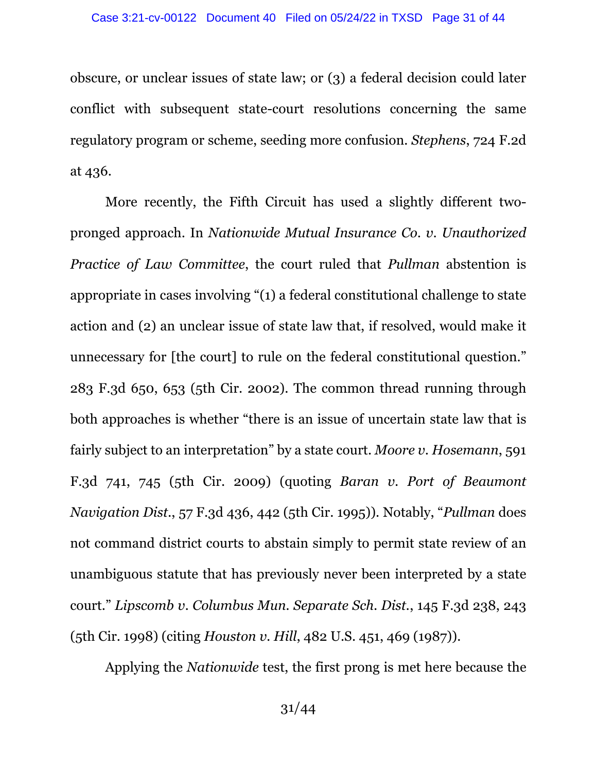obscure, or unclear issues of state law; or (3) a federal decision could later conflict with subsequent state-court resolutions concerning the same regulatory program or scheme, seeding more confusion. *Stephens*, 724 F.2d at 436.

More recently, the Fifth Circuit has used a slightly different twopronged approach. In *Nationwide Mutual Insurance Co. v. Unauthorized Practice of Law Committee*, the court ruled that *Pullman* abstention is appropriate in cases involving "(1) a federal constitutional challenge to state action and (2) an unclear issue of state law that, if resolved, would make it unnecessary for [the court] to rule on the federal constitutional question." 283 F.3d 650, 653 (5th Cir. 2002). The common thread running through both approaches is whether "there is an issue of uncertain state law that is fairly subject to an interpretation" by a state court. *Moore v. Hosemann*, 591 F.3d 741, 745 (5th Cir. 2009) (quoting *Baran v. Port of Beaumont Navigation Dist.*, 57 F.3d 436, 442 (5th Cir. 1995)). Notably, "*Pullman* does not command district courts to abstain simply to permit state review of an unambiguous statute that has previously never been interpreted by a state court." *Lipscomb v. Columbus Mun. Separate Sch. Dist.*, 145 F.3d 238, 243 (5th Cir. 1998) (citing *Houston v. Hill*, 482 U.S. 451, 469 (1987)).

Applying the *Nationwide* test, the first prong is met here because the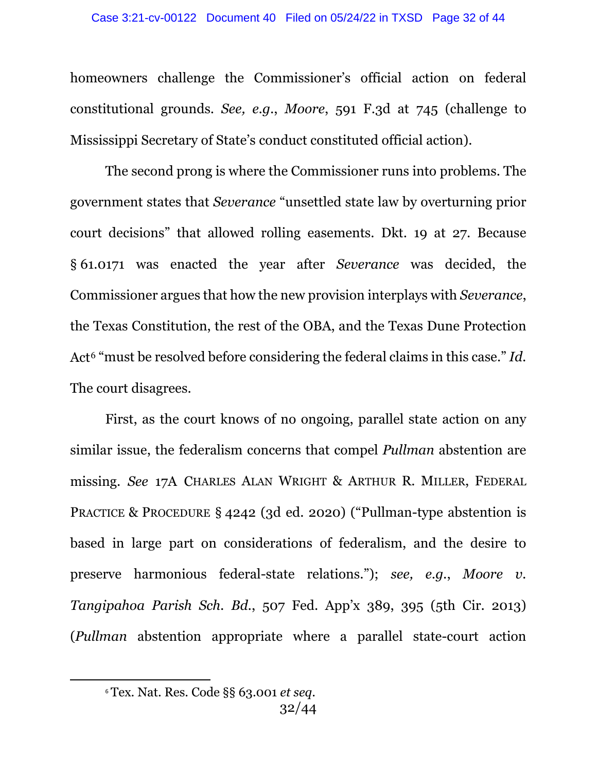homeowners challenge the Commissioner's official action on federal constitutional grounds. *See, e.g.*, *Moore*, 591 F.3d at 745 (challenge to Mississippi Secretary of State's conduct constituted official action).

The second prong is where the Commissioner runs into problems. The government states that *Severance* "unsettled state law by overturning prior court decisions" that allowed rolling easements. Dkt. 19 at 27. Because § 61.0171 was enacted the year after *Severance* was decided, the Commissioner argues that how the new provision interplays with *Severance*, the Texas Constitution, the rest of the OBA, and the Texas Dune Protection Act<sup>[6](#page-31-0)</sup> "must be resolved before considering the federal claims in this case." *Id.* The court disagrees.

First, as the court knows of no ongoing, parallel state action on any similar issue, the federalism concerns that compel *Pullman* abstention are missing. *See* 17A CHARLES ALAN WRIGHT & ARTHUR R. MILLER, FEDERAL PRACTICE & PROCEDURE § 4242 (3d ed. 2020) ("Pullman-type abstention is based in large part on considerations of federalism, and the desire to preserve harmonious federal-state relations."); *see, e.g.*, *Moore v. Tangipahoa Parish Sch. Bd.*, 507 Fed. App'x 389, 395 (5th Cir. 2013) (*Pullman* abstention appropriate where a parallel state-court action

<span id="page-31-0"></span><sup>6</sup> Tex. Nat. Res. Code §§ 63.001 *et seq*.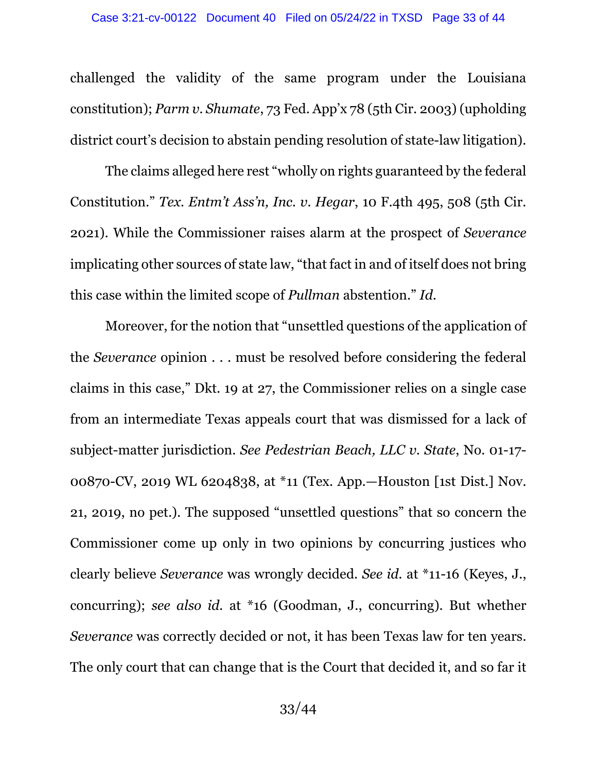challenged the validity of the same program under the Louisiana constitution); *Parm v. Shumate*, 73 Fed. App'x 78 (5th Cir. 2003) (upholding district court's decision to abstain pending resolution of state-law litigation).

The claims alleged here rest "wholly on rights guaranteed by the federal Constitution." *Tex. Entm't Ass'n, Inc. v. Hegar*, 10 F.4th 495, 508 (5th Cir. 2021). While the Commissioner raises alarm at the prospect of *Severance*  implicating other sources of state law, "that fact in and of itself does not bring this case within the limited scope of *Pullman* abstention." *Id.*

Moreover, for the notion that "unsettled questions of the application of the *Severance* opinion . . . must be resolved before considering the federal claims in this case," Dkt. 19 at 27, the Commissioner relies on a single case from an intermediate Texas appeals court that was dismissed for a lack of subject-matter jurisdiction. *See Pedestrian Beach, LLC v. State*, No. 01-17- 00870-CV, 2019 WL 6204838, at \*11 (Tex. App.—Houston [1st Dist.] Nov. 21, 2019, no pet.). The supposed "unsettled questions" that so concern the Commissioner come up only in two opinions by concurring justices who clearly believe *Severance* was wrongly decided. *See id.* at \*11-16 (Keyes, J., concurring); *see also id.* at \*16 (Goodman, J., concurring). But whether *Severance* was correctly decided or not, it has been Texas law for ten years. The only court that can change that is the Court that decided it, and so far it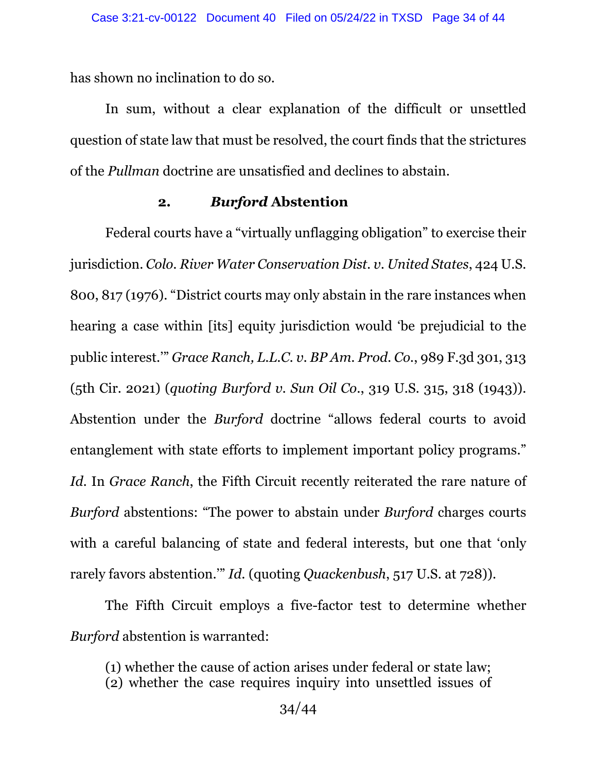has shown no inclination to do so.

In sum, without a clear explanation of the difficult or unsettled question of state law that must be resolved, the court finds that the strictures of the *Pullman* doctrine are unsatisfied and declines to abstain.

#### **2.** *Burford* **Abstention**

Federal courts have a "virtually unflagging obligation" to exercise their jurisdiction. *Colo. River Water Conservation Dist. v. United States*, 424 U.S. 800, 817 (1976). "District courts may only abstain in the rare instances when hearing a case within [its] equity jurisdiction would 'be prejudicial to the public interest.'" *Grace Ranch, L.L.C. v. BP Am. Prod. Co.*, 989 F.3d 301, 313 (5th Cir. 2021) (*quoting Burford v. Sun Oil Co.*, 319 U.S. 315, 318 (1943)). Abstention under the *Burford* doctrine "allows federal courts to avoid entanglement with state efforts to implement important policy programs." *Id.* In *Grace Ranch*, the Fifth Circuit recently reiterated the rare nature of *Burford* abstentions: "The power to abstain under *Burford* charges courts with a careful balancing of state and federal interests, but one that 'only rarely favors abstention.'" *Id.* (quoting *Quackenbush*, 517 U.S. at 728)).

The Fifth Circuit employs a five-factor test to determine whether *Burford* abstention is warranted:

(1) whether the cause of action arises under federal or state law; (2) whether the case requires inquiry into unsettled issues of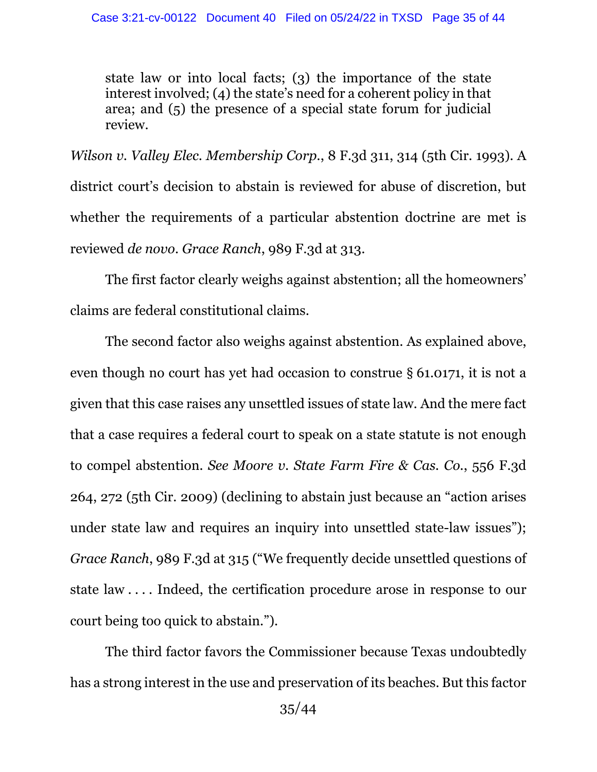state law or into local facts; (3) the importance of the state interest involved; (4) the state's need for a coherent policy in that area; and (5) the presence of a special state forum for judicial review.

*Wilson v. Valley Elec. Membership Corp.*, 8 F.3d 311, 314 (5th Cir. 1993). A district court's decision to abstain is reviewed for abuse of discretion, but whether the requirements of a particular abstention doctrine are met is reviewed *de novo*. *Grace Ranch*, 989 F.3d at 313.

The first factor clearly weighs against abstention; all the homeowners' claims are federal constitutional claims.

The second factor also weighs against abstention. As explained above, even though no court has yet had occasion to construe § 61.0171, it is not a given that this case raises any unsettled issues of state law. And the mere fact that a case requires a federal court to speak on a state statute is not enough to compel abstention. *See Moore v. State Farm Fire & Cas. Co.*, 556 F.3d 264, 272 (5th Cir. 2009) (declining to abstain just because an "action arises under state law and requires an inquiry into unsettled state-law issues"); *Grace Ranch*, 989 F.3d at 315 ("We frequently decide unsettled questions of state law . . . . Indeed, the certification procedure arose in response to our court being too quick to abstain.").

The third factor favors the Commissioner because Texas undoubtedly has a strong interest in the use and preservation of its beaches. But this factor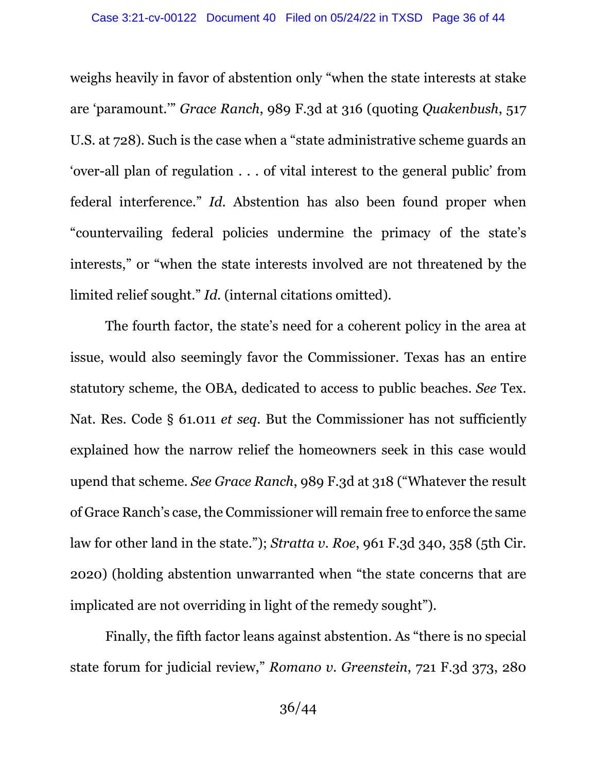weighs heavily in favor of abstention only "when the state interests at stake are 'paramount.'" *Grace Ranch*, 989 F.3d at 316 (quoting *Quakenbush*, 517 U.S. at 728). Such is the case when a "state administrative scheme guards an 'over-all plan of regulation . . . of vital interest to the general public' from federal interference." *Id.* Abstention has also been found proper when "countervailing federal policies undermine the primacy of the state's interests," or "when the state interests involved are not threatened by the limited relief sought." *Id.* (internal citations omitted).

The fourth factor, the state's need for a coherent policy in the area at issue, would also seemingly favor the Commissioner. Texas has an entire statutory scheme, the OBA, dedicated to access to public beaches. *See* Tex. Nat. Res. Code § 61.011 *et seq*. But the Commissioner has not sufficiently explained how the narrow relief the homeowners seek in this case would upend that scheme. *See Grace Ranch*, 989 F.3d at 318 ("Whatever the result of Grace Ranch's case, the Commissioner will remain free to enforce the same law for other land in the state."); *Stratta v. Roe*, 961 F.3d 340, 358 (5th Cir. 2020) (holding abstention unwarranted when "the state concerns that are implicated are not overriding in light of the remedy sought").

Finally, the fifth factor leans against abstention. As "there is no special state forum for judicial review," *Romano v. Greenstein*, 721 F.3d 373, 280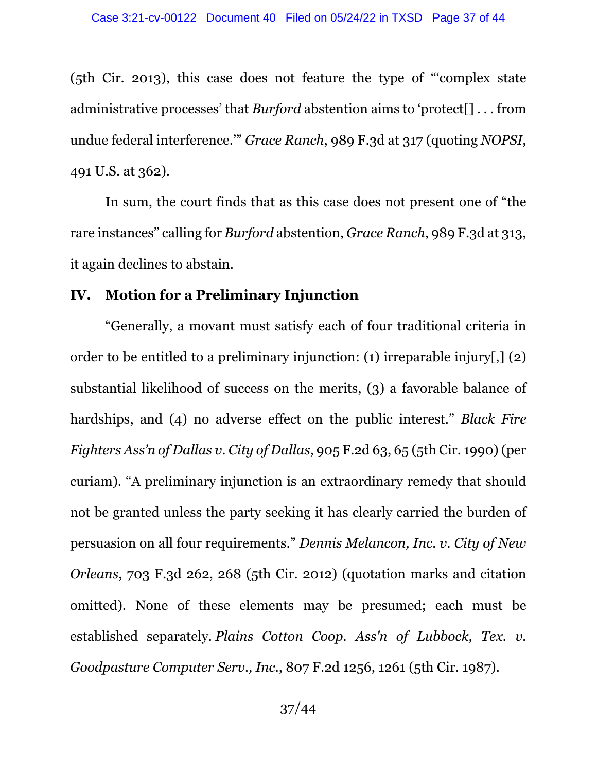(5th Cir. 2013), this case does not feature the type of "'complex state administrative processes' that *Burford* abstention aims to 'protect[] . . . from undue federal interference.'" *Grace Ranch*, 989 F.3d at 317 (quoting *NOPSI*, 491 U.S. at 362).

In sum, the court finds that as this case does not present one of "the rare instances" calling for *Burford* abstention, *Grace Ranch*, 989 F.3d at 313, it again declines to abstain.

#### **IV. Motion for a Preliminary Injunction**

"Generally, a movant must satisfy each of four traditional criteria in order to be entitled to a preliminary injunction: (1) irreparable injury[,] (2) substantial likelihood of success on the merits, (3) a favorable balance of hardships, and (4) no adverse effect on the public interest." *Black Fire Fighters Ass'n of Dallas v. City of Dallas*, 905 F.2d 63, 65 (5th Cir. 1990) (per curiam). "A preliminary injunction is an extraordinary remedy that should not be granted unless the party seeking it has clearly carried the burden of persuasion on all four requirements." *Dennis Melancon, Inc. v. City of New Orleans*, 703 F.3d 262, 268 (5th Cir. 2012) (quotation marks and citation omitted). None of these elements may be presumed; each must be established separately. *Plains Cotton Coop. Ass'n of Lubbock, Tex. v. Goodpasture Computer Serv., Inc.*, 807 F.2d 1256, 1261 (5th Cir. 1987).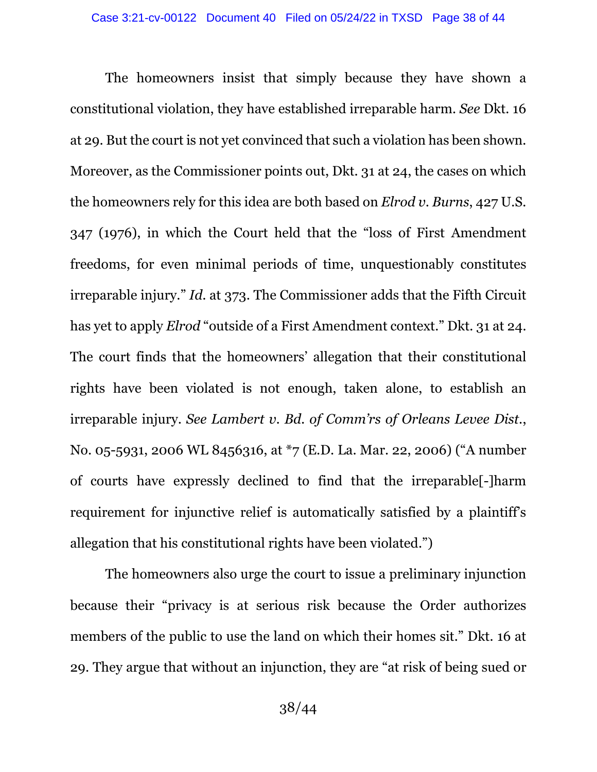The homeowners insist that simply because they have shown a constitutional violation, they have established irreparable harm. *See* Dkt. 16 at 29. But the court is not yet convinced that such a violation has been shown. Moreover, as the Commissioner points out, Dkt. 31 at 24, the cases on which the homeowners rely for this idea are both based on *Elrod v. Burns*, 427 U.S. 347 (1976), in which the Court held that the "loss of First Amendment freedoms, for even minimal periods of time, unquestionably constitutes irreparable injury." *Id.* at 373. The Commissioner adds that the Fifth Circuit has yet to apply *Elrod* "outside of a First Amendment context." Dkt. 31 at 24. The court finds that the homeowners' allegation that their constitutional rights have been violated is not enough, taken alone, to establish an irreparable injury. *See Lambert v. Bd. of Comm'rs of Orleans Levee Dist.*, No. 05-5931, 2006 WL 8456316, at \*7 (E.D. La. Mar. 22, 2006) ("A number of courts have expressly declined to find that the irreparable[-]harm requirement for injunctive relief is automatically satisfied by a plaintiff's allegation that his constitutional rights have been violated.")

The homeowners also urge the court to issue a preliminary injunction because their "privacy is at serious risk because the Order authorizes members of the public to use the land on which their homes sit." Dkt. 16 at 29. They argue that without an injunction, they are "at risk of being sued or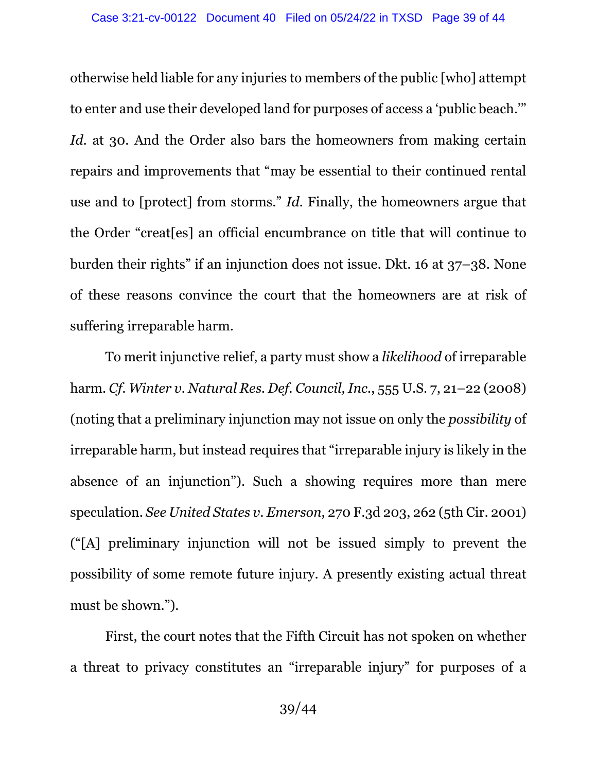otherwise held liable for any injuries to members of the public [who] attempt to enter and use their developed land for purposes of access a 'public beach.'" Id. at 30. And the Order also bars the homeowners from making certain repairs and improvements that "may be essential to their continued rental use and to [protect] from storms." *Id.* Finally, the homeowners argue that the Order "creat[es] an official encumbrance on title that will continue to burden their rights" if an injunction does not issue. Dkt. 16 at 37–38. None of these reasons convince the court that the homeowners are at risk of suffering irreparable harm.

To merit injunctive relief, a party must show a *likelihood* of irreparable harm. *Cf. Winter v. Natural Res. Def. Council, Inc.*, 555 U.S. 7, 21–22 (2008) (noting that a preliminary injunction may not issue on only the *possibility* of irreparable harm, but instead requires that "irreparable injury is likely in the absence of an injunction"). Such a showing requires more than mere speculation. *See United States v. Emerson*, 270 F.3d 203, 262 (5th Cir. 2001) ("[A] preliminary injunction will not be issued simply to prevent the possibility of some remote future injury. A presently existing actual threat must be shown.").

First, the court notes that the Fifth Circuit has not spoken on whether a threat to privacy constitutes an "irreparable injury" for purposes of a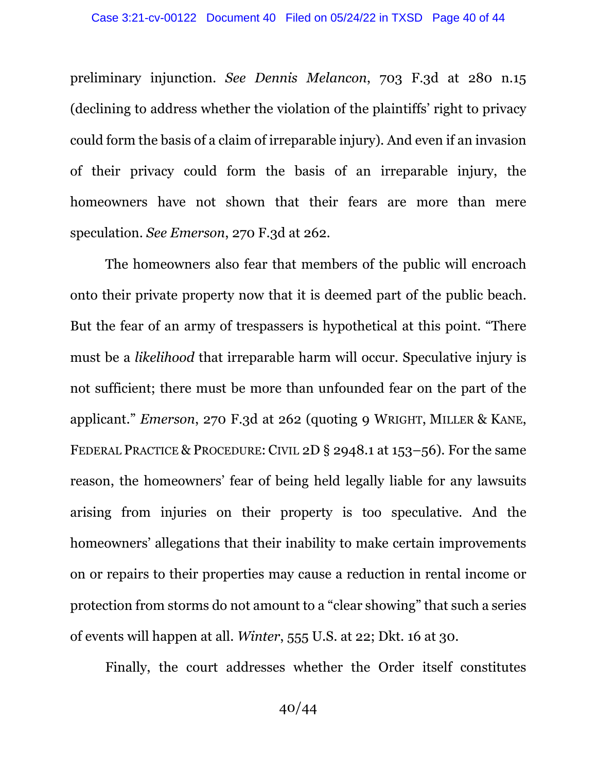preliminary injunction. *See Dennis Melancon*, 703 F.3d at 280 n.15 (declining to address whether the violation of the plaintiffs' right to privacy could form the basis of a claim of irreparable injury). And even if an invasion of their privacy could form the basis of an irreparable injury, the homeowners have not shown that their fears are more than mere speculation. *See Emerson*, 270 F.3d at 262.

The homeowners also fear that members of the public will encroach onto their private property now that it is deemed part of the public beach. But the fear of an army of trespassers is hypothetical at this point. "There must be a *likelihood* that irreparable harm will occur. Speculative injury is not sufficient; there must be more than unfounded fear on the part of the applicant." *Emerson*, 270 F.3d at 262 (quoting 9 WRIGHT, MILLER & KANE, FEDERAL PRACTICE & PROCEDURE: CIVIL 2D § 2948.1 at 153–56). For the same reason, the homeowners' fear of being held legally liable for any lawsuits arising from injuries on their property is too speculative. And the homeowners' allegations that their inability to make certain improvements on or repairs to their properties may cause a reduction in rental income or protection from storms do not amount to a "clear showing" that such a series of events will happen at all. *Winter*, 555 U.S. at 22; Dkt. 16 at 30.

Finally, the court addresses whether the Order itself constitutes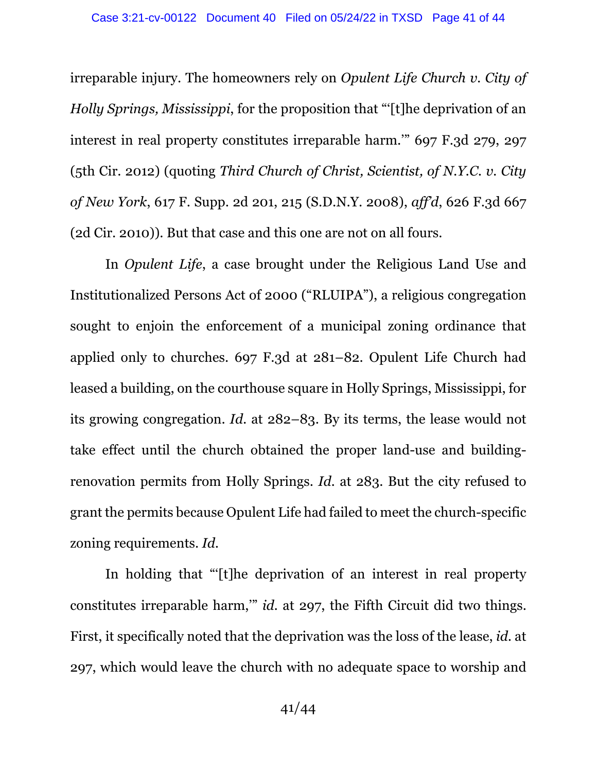irreparable injury. The homeowners rely on *Opulent Life Church v. City of Holly Springs, Mississippi*, for the proposition that "'[t]he deprivation of an interest in real property constitutes irreparable harm.'" 697 F.3d 279, 297 (5th Cir. 2012) (quoting *Third Church of Christ, Scientist, of N.Y.C. v. City of New York*, 617 F. Supp. 2d 201, 215 (S.D.N.Y. 2008), *aff'd*, 626 F.3d 667 (2d Cir. 2010)). But that case and this one are not on all fours.

In *Opulent Life*, a case brought under the Religious Land Use and Institutionalized Persons Act of 2000 ("RLUIPA"), a religious congregation sought to enjoin the enforcement of a municipal zoning ordinance that applied only to churches. 697 F.3d at 281–82. Opulent Life Church had leased a building, on the courthouse square in Holly Springs, Mississippi, for its growing congregation. *Id.* at 282–83. By its terms, the lease would not take effect until the church obtained the proper land-use and buildingrenovation permits from Holly Springs. *Id.* at 283. But the city refused to grant the permits because Opulent Life had failed to meet the church-specific zoning requirements. *Id.*

In holding that "'[t]he deprivation of an interest in real property constitutes irreparable harm,'" *id.* at 297, the Fifth Circuit did two things. First, it specifically noted that the deprivation was the loss of the lease, *id.* at 297, which would leave the church with no adequate space to worship and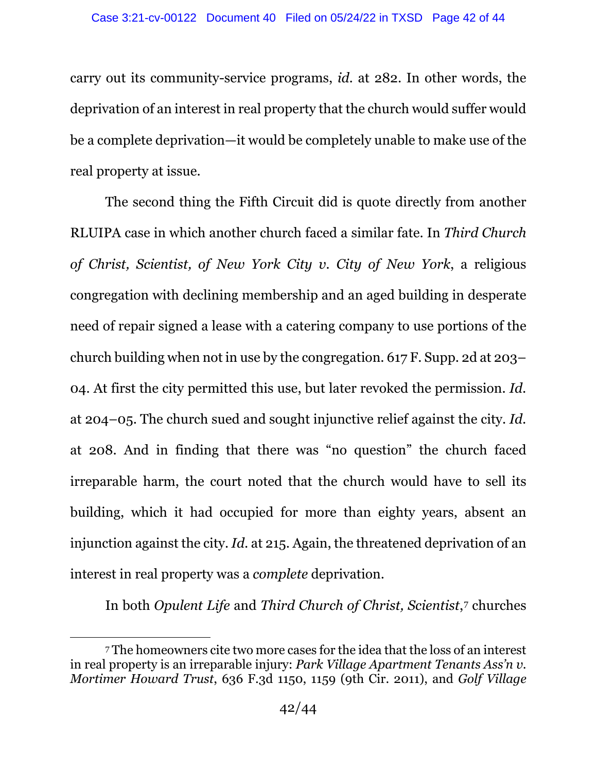carry out its community-service programs, *id.* at 282. In other words, the deprivation of an interest in real property that the church would suffer would be a complete deprivation—it would be completely unable to make use of the real property at issue.

The second thing the Fifth Circuit did is quote directly from another RLUIPA case in which another church faced a similar fate. In *Third Church of Christ, Scientist, of New York City v. City of New York*, a religious congregation with declining membership and an aged building in desperate need of repair signed a lease with a catering company to use portions of the church building when not in use by the congregation. 617 F. Supp. 2d at 203– 04. At first the city permitted this use, but later revoked the permission. *Id.* at 204–05. The church sued and sought injunctive relief against the city. *Id.* at 208. And in finding that there was "no question" the church faced irreparable harm, the court noted that the church would have to sell its building, which it had occupied for more than eighty years, absent an injunction against the city. *Id.* at 215. Again, the threatened deprivation of an interest in real property was a *complete* deprivation.

In both *Opulent Life* and *Third Church of Christ, Scientist*,[7](#page-41-0) churches

<span id="page-41-0"></span><sup>7</sup> The homeowners cite two more cases for the idea that the loss of an interest in real property is an irreparable injury: *Park Village Apartment Tenants Ass'n v. Mortimer Howard Trust*, 636 F.3d 1150, 1159 (9th Cir. 2011), and *Golf Village*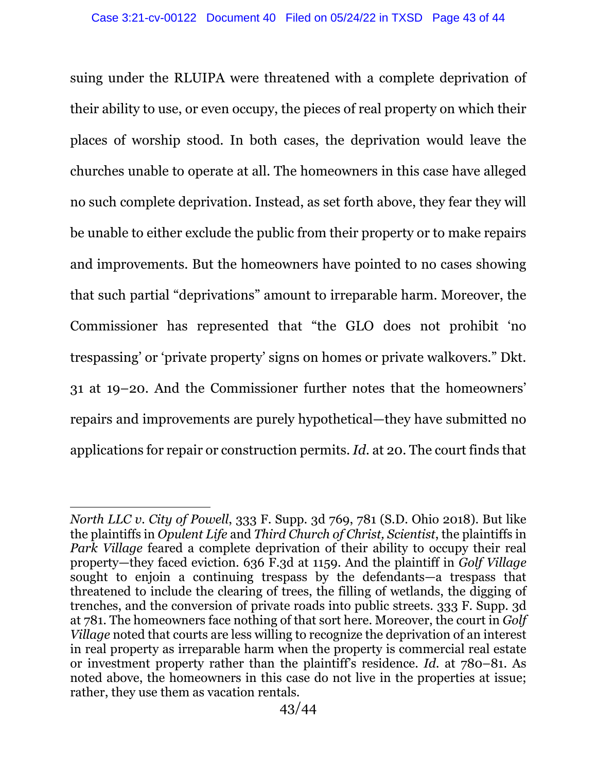suing under the RLUIPA were threatened with a complete deprivation of their ability to use, or even occupy, the pieces of real property on which their places of worship stood. In both cases, the deprivation would leave the churches unable to operate at all. The homeowners in this case have alleged no such complete deprivation. Instead, as set forth above, they fear they will be unable to either exclude the public from their property or to make repairs and improvements. But the homeowners have pointed to no cases showing that such partial "deprivations" amount to irreparable harm. Moreover, the Commissioner has represented that "the GLO does not prohibit 'no trespassing' or 'private property' signs on homes or private walkovers." Dkt. 31 at 19–20. And the Commissioner further notes that the homeowners' repairs and improvements are purely hypothetical—they have submitted no applications for repair or construction permits. *Id.* at 20. The court finds that

*North LLC v. City of Powell*, 333 F. Supp. 3d 769, 781 (S.D. Ohio 2018). But like the plaintiffs in *Opulent Life* and *Third Church of Christ, Scientist*, the plaintiffs in *Park Village* feared a complete deprivation of their ability to occupy their real property—they faced eviction. 636 F.3d at 1159. And the plaintiff in *Golf Village* sought to enjoin a continuing trespass by the defendants—a trespass that threatened to include the clearing of trees, the filling of wetlands, the digging of trenches, and the conversion of private roads into public streets. 333 F. Supp. 3d at 781. The homeowners face nothing of that sort here. Moreover, the court in *Golf Village* noted that courts are less willing to recognize the deprivation of an interest in real property as irreparable harm when the property is commercial real estate or investment property rather than the plaintiff's residence. *Id.* at 780–81. As noted above, the homeowners in this case do not live in the properties at issue; rather, they use them as vacation rentals.